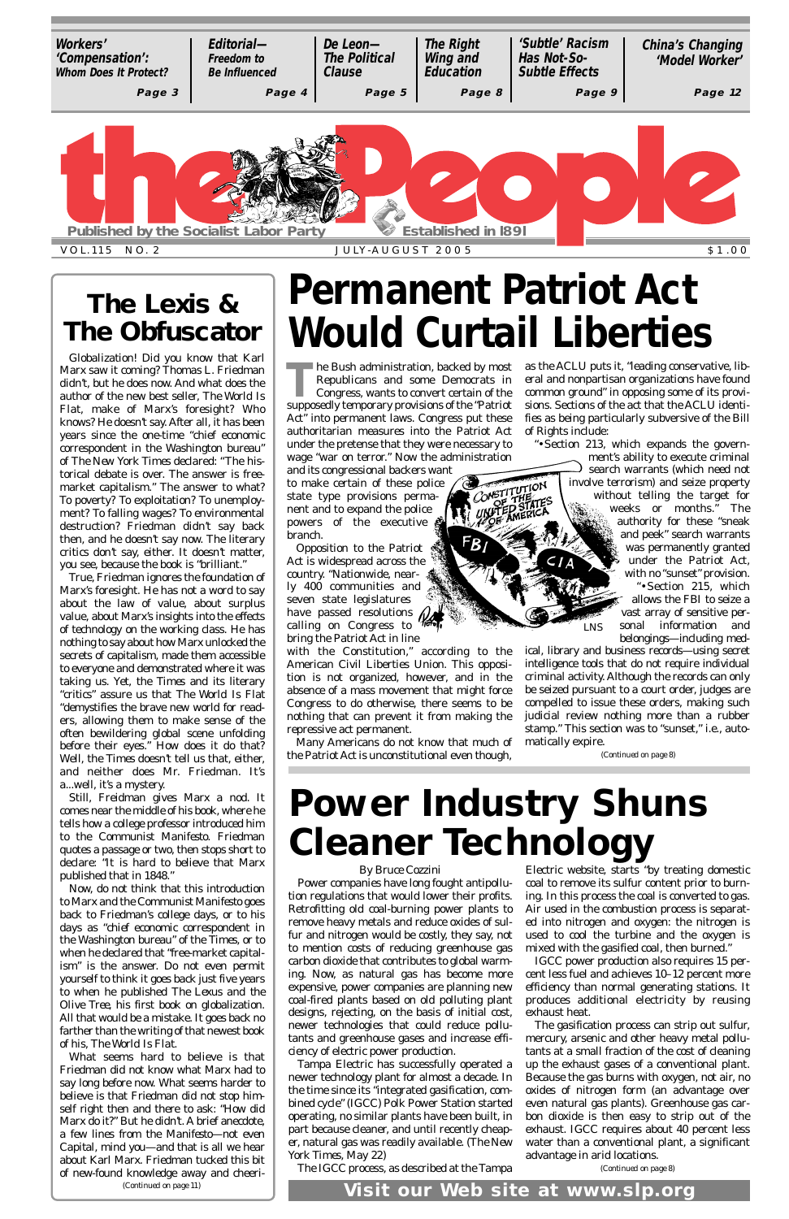**The Bush administration, backed by most**<br>
Republicans and some Democrats in<br>
Congress, wants to convert certain of the<br> **The Consense of the Convert of the Contract** Republicans and some Democrats in supposedly temporary provisions of the "Patriot Act" into permanent laws. Congress put these authoritarian measures into the Patriot Act under the pretense that they were necessary to wage "war on terror." Now the administration

and its congressional backers want to make certain of these police state type provisions permanent and to expand the police powers of the executive branch.

Opposition to the Patriot Act is widespread across the country. "Nationwide, nearly 400 communities and seven state legislatures have passed resolutions / calling on Congress to bring the Patriot Act in line

with the Constitution," according to the American Civil Liberties Union. This opposition is not organized, however, and in the absence of a mass movement that might force Congress to do otherwise, there seems to be nothing that can prevent it from making the repressive act permanent.

Many Americans do not know that much of the Patriot Act is unconstitutional even though,

as the ACLU puts it, "leading conservative, liberal and nonpartisan organizations have found common ground" in opposing some of its provisions. Sections of the act that the ACLU identifies as being particularly subversive of the Bill of Rights include:

"•Section 213, which expands the government's ability to execute criminal

ical, library and business records—using secret intelligence tools that do not require individual criminal activity. Although the records can only be seized pursuant to a court order, judges are compelled to issue these orders, making such judicial review nothing more than a rubber stamp." This section was to "sunset," i.e., automatically expire.

## **Permanent Patriot Act Would Curtail Liberties**

CONSTITUTION

*Globalization!* Did you know that Karl Marx saw it coming? Thomas L. Friedman didn't, but he does now. And what does the author of the new best seller, *The World Is Flat*, make of Marx's foresight? Who knows? He doesn't say. After all, it has been years since the one-time "chief economic correspondent in the Washington bureau" of *The New York Times* declared: "The historical debate is over. The answer is freemarket capitalism." The answer to what? To poverty? To exploitation? To unemployment? To falling wages? To environmental destruction? Friedman didn't say back then, and he doesn't say now. The literary critics don't say, either. It doesn't matter, you see, because the book is "brilliant."

True, Friedman ignores the foundation of Marx's foresight. He has not a word to say about the law of value, about surplus value, about Marx's insights into the effects of technology on the working class. He has nothing to say about how Marx unlocked the secrets of capitalism, made them accessible to everyone and demonstrated where it was taking us. Yet, the *Times* and its literary "critics" assure us that *The World Is Flat* "demystifies the brave new world for readers, allowing them to make sense of the often bewildering global scene unfolding before their eyes." How does it do that? Well, the *Times* doesn't tell us that, either, and neither does Mr. Friedman. It's a...well, it's a mystery.

> Power companies have long fought antipollu- coal to remove its sulfur content prior to burn-Electric website, starts "by treating domestic ing. In this process the coal is converted to gas. Air used in the combustion process is separated into nitrogen and oxygen: the nitrogen is used to cool the turbine and the oxygen is mixed with the gasified coal, then burned." IGCC power production also requires 15 percent less fuel and achieves 10–12 percent more efficiency than normal generating stations. It produces additional electricity by reusing exhaust heat. The gasification process can strip out sulfur, mercury, arsenic and other heavy metal pollutants at a small fraction of the cost of cleaning up the exhaust gases of a conventional plant. Because the gas burns with oxygen, not air, no oxides of nitrogen form (an advantage over even natural gas plants). Greenhouse gas carbon dioxide is then easy to strip out of the exhaust. IGCC requires about 40 percent less water than a conventional plant, a significant advantage in arid locations.

Still, Freidman gives Marx a nod. It comes near the middle of his book, where he tells how a college professor introduced him to the *Communist Manifesto.* Friedman quotes a passage or two, then stops short to declare: "It is hard to believe that Marx published that in 1848."

Now, do not think that this introduction

to Marx and the *Communist Manifesto* goes back to Friedman's college days, or to his days as "*chief* economic correspondent in the Washington bureau" of the *Times*, or to when he declared that "free-market capitalism" is the answer. Do not even permit yourself to think it goes back just five years to when he published *The Lexus and the Olive Tree*, his first book on globalization. All that would be a mistake. It goes back no farther than the writing of that newest book of his, *The World Is Flat*.

search warrants (which need not involve terrorism) and seize property without telling the target for weeks or months." The authority for these "sneak and peek" search warrants was permanently granted under the Patriot Act, with no "sunset" provision. "•Section 215, which allows the FBI to seize a vast array of sensitive personal information and belongings—including med-LNS

<span id="page-0-0"></span>

### **The Lexis & The Obfuscator**

## **Power Industry Shuns Cleaner Technology**

### *By Bruce Cozzini*

tion regulations that would lower their profits. Retrofitting old coal-burning power plants to remove heavy metals and reduce oxides of sulfur and nitrogen would be costly, they say, not to mention costs of reducing greenhouse gas carbon dioxide that contributes to global warming. Now, as natural gas has become more expensive, power companies are planning new coal-fired plants based on old polluting plant designs, rejecting, on the basis of initial cost, newer technologies that could reduce pollutants and greenhouse gases and increase efficiency of electric power production. Tampa Electric has successfully operated a newer technology plant for almost a decade. In the time since its "integrated gasification, combined cycle" (IGCC) Polk Power Station started operating, no similar plants have been built, in part because cleaner, and until recently cheaper, natural gas was readily available. (*The New York Times*, May 22)

What seems hard to believe is that Friedman did not know what Marx had to say long before now. What seems harder to believe is that Friedman did not stop himself right then and there to ask: "How did Marx do it?" But he didn't. A brief anecdote, a few lines from the *Manifesto*—not even *Capital*, mind you—and that is all we hear about Karl Marx. Friedman tucked this bit of new-found knowledge away and cheeri-*(Continued on page 11)*

The IGCC process, as described at the Tampa

*(Continued on page 8)*

*(Continued on page 8)*

**Visit our Web site at www.slp.org**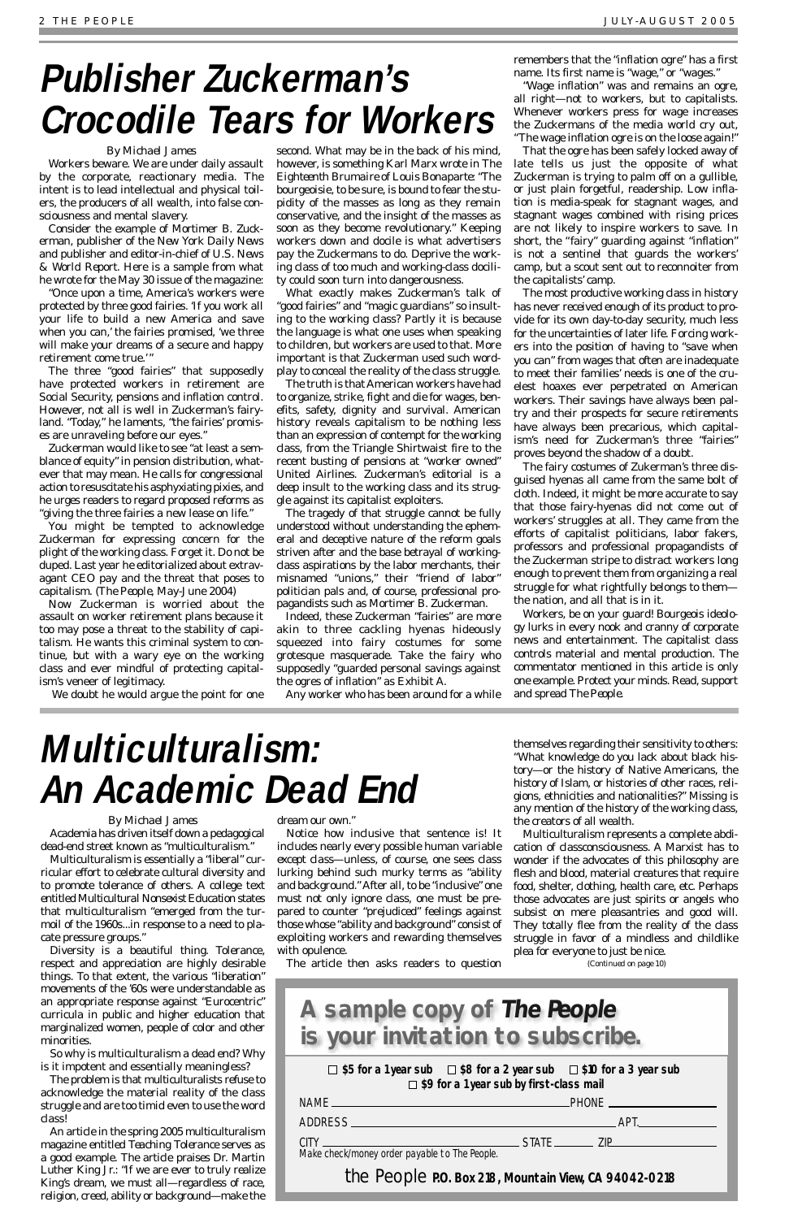*By Michael James* Academia has driven itself down a pedagogical dead-end street known as "multiculturalism."

Multiculturalism is essentially a "liberal" curricular effort to celebrate cultural diversity and to promote tolerance of others. A college text entitled *Multicultural Nonsexist Education* states that multiculturalism "emerged from the turmoil of the 1960s...in response to a need to placate pressure groups." Diversity is a beautiful thing. Tolerance, respect and appreciation are highly desirable things. To that extent, the various "liberation" movements of the '60s were understandable as an appropriate response against "Eurocentric" curricula in public and higher education that marginalized women, people of color and other minorities. So why is multiculturalism a dead end? Why is it impotent and essentially meaningless? The problem is that multiculturalists refuse to acknowledge the material reality of the class struggle and are too timid even to use the word class! An article in the spring 2005 multiculturalism magazine entitled *Teaching Tolerance* serves as a good example. The article praises Dr. Martin Luther King Jr.: "If we are ever to truly realize King's dream, we must all—regardless of race, religion, creed, ability or background—make the

### dream our own."

Notice how inclusive that sentence is! It includes nearly every possible human variable *except class*—unless, of course, one sees class lurking behind such murky terms as "ability and background." After all, to be "inclusive" one must not only ignore class, one must be prepared to counter "prejudiced" feelings against those whose "ability and background" consist of exploiting workers and rewarding themselves with opulence.

The article then asks readers to question

themselves regarding their sensitivity to others: "What knowledge do you lack about black history—or the history of Native Americans, the history of Islam, or histories of other races, religions, ethnicities and nationalities?" Missing is any mention of the history of the working class, the creators of all wealth.

Multiculturalism represents a complete abdication of classconsciousness. A Marxist has to wonder if the advocates of this philosophy are flesh and blood, material creatures that require food, shelter, clothing, health care, etc. Perhaps those advocates are just spirits or angels who subsist on mere pleasantries and good will. They totally flee from the reality of the class struggle in favor of a mindless and childlike plea for everyone to just be nice.

### *By Michael James*

Workers beware. We are under daily assault by the corporate, reactionary media. The intent is to lead intellectual and physical toilers, the producers of all wealth, into false consciousness and mental slavery.

Consider the example of Mortimer B. Zuckerman, publisher of the *New York Daily News* and publisher and editor-in-chief of *U.S. News & World Report*. Here is a sample from what he wrote for the May 30 issue of the magazine:

"Once upon a time, America's workers were protected by three good fairies. 'If you work all your life to build a new America and save when you can,' the fairies promised, 'we three will make your dreams of a secure and happy retirement come true.' "

The three "good fairies" that supposedly have protected workers in retirement are Social Security, pensions and inflation control. However, not all is well in Zuckerman's fairyland. "Today," he laments, "the fairies' promises are unraveling before our eyes."

Zuckerman would like to see "at least a semblance of equity" in pension distribution, whatever that may mean. He calls for congressional action to resuscitate his asphyxiating pixies, and he urges readers to regard proposed reforms as "giving the three fairies a new lease on life."

You might be tempted to acknowledge Zuckerman for expressing concern for the plight of the working class. Forget it. Do not be duped. Last year he editorialized about extravagant CEO pay and the threat that poses to capitalism. (*The People*, May-June 2004)

Now Zuckerman is worried about the assault on worker retirement plans because it too may pose a threat to the stability of capitalism. He wants this criminal system to continue, but with a wary eye on the working class and ever mindful of protecting capitalism's veneer of legitimacy.

We doubt he would argue the point for one

second. What may be in the back of his mind, however, is something Karl Marx wrote in *The Eighteenth Brumaire of Louis Bonaparte*: "The bourgeoisie, to be sure, is bound to fear the stupidity of the masses as long as they remain conservative, and the insight of the masses as soon as they become revolutionary." Keeping workers down and docile is what advertisers pay the Zuckermans to do. Deprive the working class of too much and working-class docility could soon turn into dangerousness.

What exactly makes Zuckerman's talk of "good fairies" and "magic guardians" so insulting to the working class? Partly it is because the language is what one uses when speaking to children, but workers are used to that. More important is that Zuckerman used such wordplay to conceal the reality of the class struggle.

The truth is that American workers have had to organize, strike, fight and die for wages, benefits, safety, dignity and survival. American history reveals capitalism to be nothing less than an expression of contempt for the working class, from the Triangle Shirtwaist fire to the recent busting of pensions at "worker owned" United Airlines. Zuckerman's editorial is a deep insult to the working class and its struggle against its capitalist exploiters.

The tragedy of that struggle cannot be fully understood without understanding the ephemeral and deceptive nature of the reform goals striven after and the base betrayal of workingclass aspirations by the labor merchants, their misnamed "unions," their "friend of labor" politician pals and, of course, professional propagandists such as Mortimer B. Zuckerman.

Indeed, these Zuckerman "fairies" are more akin to three cackling hyenas hideously squeezed into fairy costumes for some grotesque masquerade. Take the fairy who supposedly "guarded personal savings against the ogres of inflation" as Exhibit A.

Any worker who has been around for a while

remembers that the "inflation ogre" has a first name. Its first name is "wage," or "wages."

"Wage inflation" was and remains an ogre, all right—not to workers, but to capitalists. Whenever workers press for wage increases the Zuckermans of the media world cry out, "The wage inflation ogre is on the loose again!"

That the ogre has been safely locked away of late tells us just the opposite of what Zuckerman is trying to palm off on a gullible, or just plain forgetful, readership. Low inflation is media-speak for stagnant wages, and stagnant wages combined with rising prices are not likely to inspire workers to save. In short, the "fairy" guarding against "inflation" is not a sentinel that guards the workers' camp, but a scout sent out to reconnoiter from the capitalists' camp.

The most productive working class in history has never received enough of its product to provide for its own day-to-day security, much less for the uncertainties of later life. Forcing workers into the position of having to "save when you can" from wages that often are inadequate to meet their families' needs is one of the cruelest hoaxes ever perpetrated on American workers. Their savings have always been paltry and their prospects for secure retirements have always been precarious, which capitalism's need for Zuckerman's three "fairies" proves beyond the shadow of a doubt.

The fairy costumes of Zukerman's three disguised hyenas all came from the same bolt of cloth. Indeed, it might be more accurate to say that those fairy-hyenas did not come out of workers' struggles at all. They came from the efforts of capitalist politicians, labor fakers, professors and professional propagandists of the Zuckerman stripe to distract workers long enough to prevent them from organizing a real struggle for what rightfully belongs to them the nation, and all that is in it.

Workers, be on your guard! Bourgeois ideology lurks in every nook and cranny of corporate news and entertainment. The capitalist class controls material and mental production. The commentator mentioned in this article is only one example. Protect your minds. Read, support and spread *The People*.

**\$5 for a 1 year sub \$8 for a 2 year sub \$10 for a 3 year sub \$9 for a 1 year sub by first-class mail**

| NAMF.                                         | <b>PHONE</b> |
|-----------------------------------------------|--------------|
| ADDRESS.                                      | ΔP.          |
|                                               | <b>STATE</b> |
| Make check/money order payable to The People. |              |

the People **P.O. Box 218, Mountain View, CA 94042-0218**

### **A sample copy of The People is your invitation to subscribe.**

## **Publisher Zuckerman's Crocodile Tears for Workers**

## **Multiculturalism: An Academic Dead End**

*(Continued on page 10)*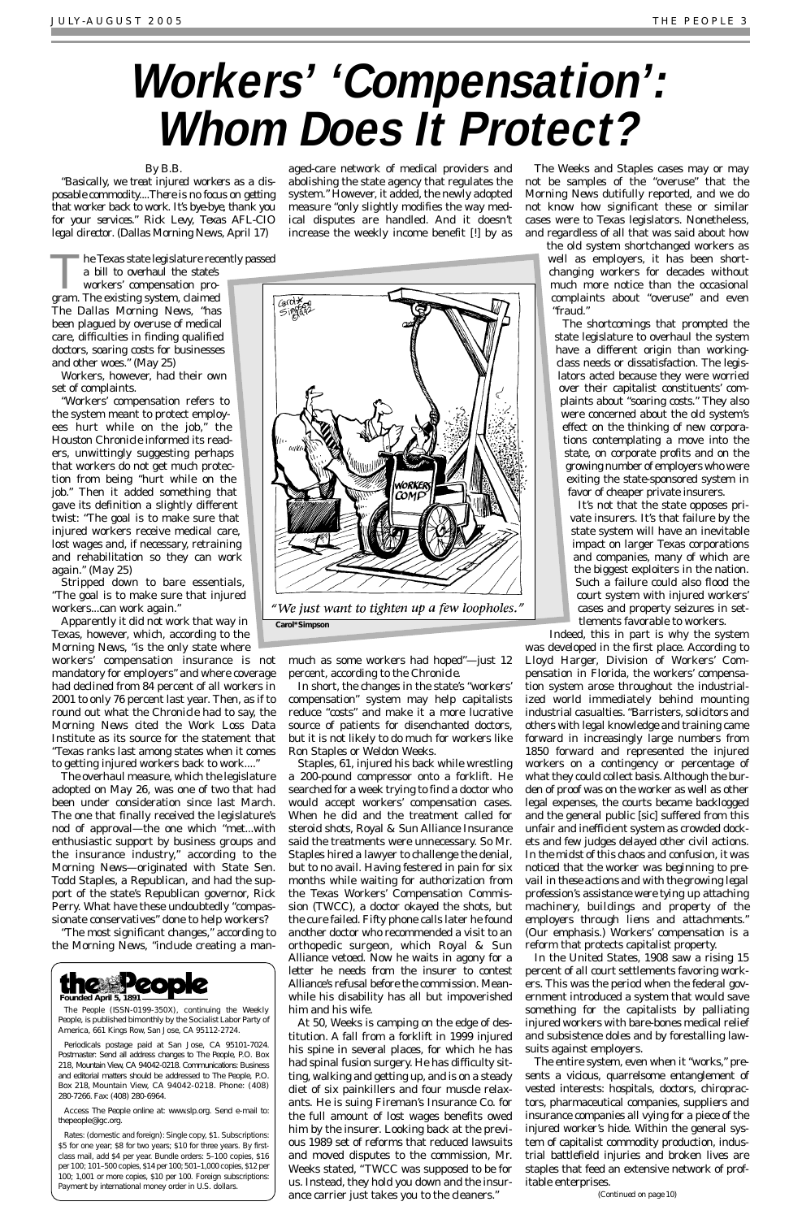### *By B.B.*

*"Basically, we treat injured workers as a disposable commodity....There is no focus on getting that worker back to work. It's bye-bye, thank you for your services." Rick Levy, Texas AFL-CIO legal director. (*Dallas Morning News, *April 17)*

a bill to overhaul the state's

workers' compensation program. The existing system, claimed *The Dallas Morning News*, "has been plagued by overuse of medical care, difficulties in finding qualified doctors, soaring costs for businesses and other woes." (May 25)

Workers, however, had their own set of complaints.

"Workers' compensation refers to the system meant to protect employees hurt while on the job," the *Houston Chronicle* informed its readers, unwittingly suggesting perhaps that workers do not get much protection *from* being "hurt while on the job." Then it added something that gave its definition a slightly different twist: "The goal is to make sure that injured workers receive medical care, lost wages and, if necessary, retraining and rehabilitation so they can work again." (May 25)

Stripped down to bare essentials, "The goal is to make sure that injured workers...can work again."

Apparently it did not work that way in Texas, however, which, according to the *Morning News*, "is the only state where

workers' compensation insurance is not mandatory for employers" and where coverage had declined from 84 percent of all workers in 2001 to only 76 percent last year. Then, as if to round out what the *Chronicle* had to say, the *Morning News* cited the Work Loss Data Institute as its source for the statement that "Texas ranks last among states when it comes to getting injured workers back to work...."

The overhaul measure, which the legislature adopted on May 26, was one of two that had been under consideration since last March. The one that finally received the legislature's nod of approval—the one which "met...with enthusiastic support by business groups and the insurance industry," according to the *Morning News*—originated with State Sen. Todd Staples, a Republican, and had the support of the state's Republican governor, Rick Perry. What have these undoubtedly "compassionate conservatives" done to help workers?

"The most significant changes," according to the *Morning News*, "include creating a man-

aged-care network of medical providers and abolishing the state agency that regulates the system." However, it added, the newly adopted measure "only slightly modifies the way medical disputes are handled. And it doesn't increase the weekly income benefit [!] by as

The Texas state legislature recently passed

much as some workers had hoped"—just 12 percent, according to the *Chronicle*.

In short, the changes in the state's "workers' compensation" system may help capitalists reduce "costs" and make it a more lucrative source of patients for disenchanted doctors, but it is not likely to do much for workers like Ron Staples or Weldon Weeks.

Staples, 61, injured his back while wrestling a 200-pound compressor onto a forklift. He searched for a week trying to find a doctor who would accept workers' compensation cases. When he did and the treatment called for steroid shots, Royal & Sun Alliance Insurance said the treatments were unnecessary. So Mr. Staples hired a lawyer to challenge the denial, but to no avail. Having festered in pain for six months while waiting for authorization from the Texas Workers' Compensation Commission (TWCC), a doctor okayed the shots, but the cure failed. Fifty phone calls later he found another doctor who recommended a visit to an orthopedic surgeon, which Royal & Sun Alliance vetoed. Now he waits in agony for a letter he needs from the insurer to contest Alliance's refusal before the commission. Meanwhile his disability has all but impoverished him and his wife. At 50, Weeks is camping on the edge of destitution. A fall from a forklift in 1999 injured his spine in several places, for which he has had spinal fusion surgery. He has difficulty sitting, walking and getting up, and is on a steady diet of six painkillers and four muscle relaxants. He is suing Fireman's Insurance Co. for the full amount of lost wages benefits owed him by the insurer. Looking back at the previous 1989 set of reforms that reduced lawsuits and moved disputes to the commission, Mr. Weeks stated, "TWCC was supposed to be for us. Instead, they hold you down and the insurance carrier just takes you to the cleaners."

The Weeks and Staples cases may or may not be samples of the "overuse" that the *Morning News* dutifully reported, and we do not know how significant these or similar cases were to Texas legislators. Nonetheless, and regardless of all that was said about how

the old system shortchanged workers as well as employers, it has been shortchanging workers for decades without much more notice than the occasional complaints about "overuse" and even "fraud."

The shortcomings that prompted the state legislature to overhaul the system have a different origin than workingclass needs or dissatisfaction. The legislators acted because they were worried over their capitalist constituents' complaints about "soaring costs." They also were concerned about the old system's effect on the thinking of new corporations contemplating a move into the state, on corporate profits and on the growing number of employers who were exiting the state-sponsored system in favor of cheaper private insurers.

It's not that the state opposes private insurers. It's that failure by the state system will have an inevitable impact on larger Texas corporations and companies, many of which are the biggest exploiters in the nation. Such a failure could also flood the court system with injured workers' cases and property seizures in settlements favorable to workers.

Indeed, this in part is why the system

was developed in the first place. According to Lloyd Harger, Division of Workers' Compensation in Florida, the workers' compensation system arose throughout the industrialized world immediately behind mounting industrial casualties. "Barristers, solicitors and others with legal knowledge and training came forward in increasingly large numbers from 1850 forward and represented the injured workers on a contingency or percentage of what they could collect basis. Although the burden of proof was on the worker as well as other legal expenses, the courts became backlogged and the general public [sic] suffered from this unfair and inefficient system as crowded dockets and few judges delayed other civil actions. *In the midst of this chaos and confusion, it was noticed that the worker was beginning to prevail in these actions and with the growing legal profession's assistance were tying up attaching machinery, buildings and property of the employers through liens and attachments."* (Our emphasis.) Workers' compensation is a reform that protects capitalist property. In the United States, 1908 saw a rising 15 percent of all court settlements favoring workers. This was the period when the federal government introduced a system that would save something for the capitalists by palliating injured workers with bare-bones medical relief and subsistence doles and by forestalling lawsuits against employers. The entire system, even when it "works," presents a vicious, quarrelsome entanglement of vested interests: hospitals, doctors, chiropractors, pharmaceutical companies, suppliers and insurance companies all vying for a piece of the injured worker's hide. Within the general system of capitalist commodity production, industrial battlefield injuries and broken lives are staples that feed an extensive network of profitable enterprises.

# <span id="page-2-0"></span>**Workers' 'Compensation': Whom Does It Protect?**



*The People* (ISSN-0199-350X), continuing the *Weekly People*, is published bimonthly by the Socialist Labor Party of America, 661 Kings Row, San Jose, CA 95112-2724.

Periodicals postage paid at San Jose, CA 95101-7024. Postmaster: Send all address changes to *The People*, P.O. Box 218, Mountain View, CA 94042-0218. Communications: Business and editorial matters should be addressed to *The People*, P.O. Box 218, Mountain View, CA 94042-0218. Phone: (408) 280-7266. Fax: (408) 280-6964.

Access *The People* online at: www.slp.org. Send e-mail to: thepeople@igc.org.

Rates: (domestic and foreign): Single copy, \$1. Subscriptions: \$5 for one year; \$8 for two years; \$10 for three years. By firstclass mail, add \$4 per year. Bundle orders: 5–100 copies, \$16 per 100; 101–500 copies, \$14 per 100; 501–1,000 copies, \$12 per 100; 1,001 or more copies, \$10 per 100. Foreign subscriptions: Payment by international money order in U.S. dollars.



*(Continued on page 10)*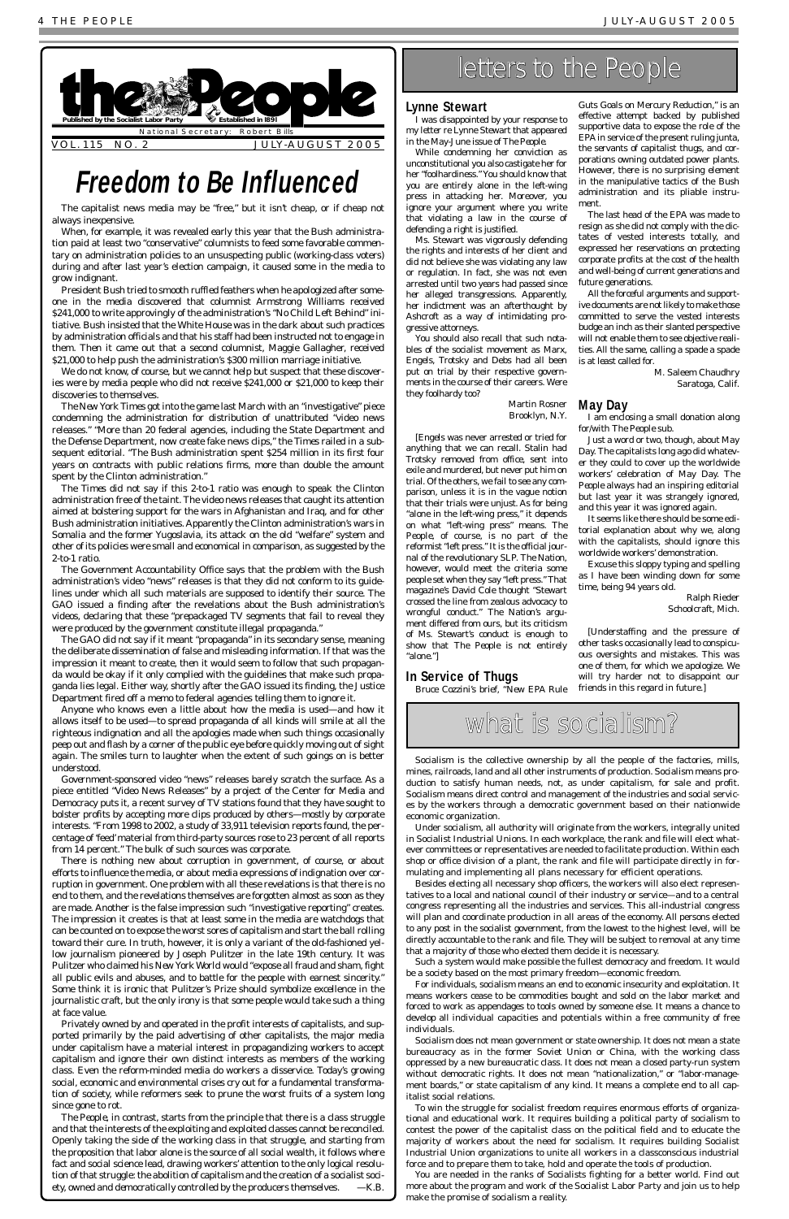### letters to the People

The capitalist news media may be "free," but it isn't cheap, or if cheap not always inexpensive.

When, for example, it was revealed early this year that the Bush administration paid at least two "conservative" columnists to feed some favorable commentary on administration policies to an unsuspecting public (working-class voters) during and after last year's election campaign, it caused some in the media to grow indignant.

President Bush tried to smooth ruffled feathers when he apologized after someone in the media discovered that columnist Armstrong Williams received \$241,000 to write approvingly of the administration's "No Child Left Behind" initiative. Bush insisted that the White House was in the dark about such practices by administration officials and that his staff had been instructed not to engage in them. Then it came out that a second columnist, Maggie Gallagher, received \$21,000 to help push the administration's \$300 million marriage initiative.

We do not know, of course, but we cannot help but suspect that these discoveries were by media people who did not receive \$241,000 or \$21,000 to keep their discoveries to themselves.

*The New York Times* got into the game last March with an "investigative" piece condemning the administration for distribution of unattributed "video news releases." "More than 20 federal agencies, including the State Department and the Defense Department, now create fake news clips," the *Times* railed in a subsequent editorial. "The Bush administration spent \$254 million in its first four years on contracts with public relations firms, more than double the amount spent by the Clinton administration."

The *Times* did not say if this 2-to-1 ratio was enough to speak the Clinton administration free of the taint. The video news releases that caught its attention aimed at bolstering support for the wars in Afghanistan and Iraq, and for other Bush administration initiatives. Apparently the Clinton administration's wars in Somalia and the former Yugoslavia, its attack on the old "welfare" system and other of its policies were small and economical in comparison, as suggested by the 2-to-1 ratio.

The Government Accountability Office says that the problem with the Bush administration's video "news" releases is that they did not conform to its guidelines under which all such materials are supposed to identify their source. The GAO issued a finding after the revelations about the Bush administration's videos, declaring that these "prepackaged TV segments that fail to reveal they were produced by the government constitute illegal propaganda."

The GAO did not say if it meant "propaganda" in its secondary sense, meaning the deliberate dissemination of false and misleading information. If that was the impression it meant to create, then it would seem to follow that such propaganda would be okay if it only complied with the guidelines that make such propaganda lies legal. Either way, shortly after the GAO issued its finding, the Justice Department fired off a memo to federal agencies telling them to ignore it.

Anyone who knows even a little about how the media is used—and how it allows itself to be used—to spread propaganda of all kinds will smile at all the righteous indignation and all the apologies made when such things occasionally peep out and flash by a corner of the public eye before quickly moving out of sight again. The smiles turn to laughter when the extent of such goings on is better understood.

*Government*-sponsored video "news" releases barely scratch the surface. As a piece entitled "Video News Releases" by a project of the Center for Media and Democracy puts it, a recent survey of TV stations found that they have sought to bolster profits by accepting more clips produced by others—mostly by corporate interests. "From 1998 to 2002, a study of 33,911 television reports found, the percentage of 'feed' material from third-party sources rose to 23 percent of all reports from 14 percent." The bulk of such sources was corporate.

<span id="page-3-0"></span>

There is nothing new about corruption in government, of course, or about efforts to influence the media, or about media expressions of indignation over corruption in government. One problem with all these revelations is that there is no end to them, and the revelations themselves are forgotten almost as soon as they are made. Another is the false impression such "investigative reporting" creates. The impression it creates is that at least some in the media are watchdogs that can be counted on to expose the worst sores of capitalism and start the ball rolling toward their cure. In truth, however, it is only a variant of the old-fashioned yellow journalism pioneered by Joseph Pulitzer in the late 19th century. It was Pulitzer who claimed his *New York World* would "expose all fraud and sham, fight all public evils and abuses, and to battle for the people with earnest sincerity." Some think it is ironic that Pulitzer's Prize should symbolize excellence in the journalistic craft, but the only irony is that some people would take such a thing at face value. Privately owned by and operated in the profit interests of capitalists, and supported primarily by the paid advertising of other capitalists, the major media under capitalism have a material interest in propagandizing workers to accept capitalism and ignore their own distinct interests as members of the working class. Even the reform-minded media do workers a disservice. Today's growing social, economic and environmental crises cry out for a *fundamental* transformation of society, while reformers seek to prune the worst fruits of a system long since gone to rot. *The People*, in contrast, starts from the principle that there is a class struggle and that the interests of the exploiting and exploited classes cannot be reconciled. Openly taking the side of the working class in that struggle, and starting from the proposition that labor alone is the source of all social wealth, it follows where fact and social science lead, drawing workers' attention to the only logical resolution of that struggle: the abolition of capitalism and the creation of a socialist society, owned and *democratically* controlled by the producers themselves. *—K.B.*

### **Lynne Stewart**

I was disappointed by your response to my letter re Lynne Stewart that appeared in the May-June issue of *The People*.

While condemning her conviction as unconstitutional you also castigate her for her "foolhardiness." You should know that you are entirely alone in the left-wing press in attacking her. Moreover, you ignore your argument where you write that violating a law in the course of defending a right is justified.

Ms. Stewart was vigorously defending the rights and interests of her client and did not believe she was violating any law or regulation. In fact, she was not even arrested until two years had passed since her alleged transgressions. Apparently, her indictment was an afterthought by Ashcroft as a way of intimidating progressive attorneys.

You should also recall that such notables of the socialist movement as Marx, Engels, Trotsky and Debs had all been put on trial by their respective governments in the course of their careers. Were they foolhardy too?

> Martin Rosner Brooklyn, N.Y.

[Engels was never arrested or tried for anything that we can recall. Stalin had Trotsky removed from office, sent into exile and murdered, but never put him on trial. Of the others, we fail to see any comparison, unless it is in the vague notion that their trials were unjust. As for being "alone in the left-wing press," it depends on what "left-wing press" means. *The People*, of course, is no part of the reformist "left press." It is the official journal of the revolutionary SLP. *The Nation*, however, would meet the criteria some people set when they say "left press." That magazine's David Cole thought "Stewart crossed the line from zealous advocacy to wrongful conduct." *The Nation's* argument differed from ours, but its criticism of Ms. Stewart's conduct is enough to show that *The People* is not entirely "alone."]

**In Service of Thugs**

Bruce Cozzini's brief, "New EPA Rule

Guts Goals on Mercury Reduction," is an effective attempt backed by published supportive data to expose the role of the EPA in service of the present ruling junta, the servants of capitalist thugs, and corporations owning outdated power plants. However, there is no surprising element in the manipulative tactics of the Bush administration and its pliable instrument.

The last head of the EPA was made to resign as she did not comply with the dictates of vested interests totally, and expressed her reservations on protecting corporate profits at the cost of the health and well-being of current generations and future generations.

All the forceful arguments and supportive documents are not likely to make those committed to serve the vested interests budge an inch as their slanted perspective will not enable them to see objective realities. All the same, calling a spade a spade is at least called for.

> M. Saleem Chaudhry Saratoga, Calif.

### **May Day**

I am enclosing a small donation along for/with *The People* sub.

Just a word or two, though, about May Day. The capitalists long ago did whatever they could to cover up the worldwide workers' celebration of May Day. *The People* always had an inspiring editorial but last year it was strangely ignored, and this year it was ignored again.

It seems like there should be some editorial explanation about why we, along with the capitalists, should ignore this worldwide workers' demonstration.

Excuse this sloppy typing and spelling as I have been winding down for some time, being 94 years old.

> Ralph Rieder Schoolcraft, Mich.

[Understaffing and the pressure of other tasks occasionally lead to conspicuous oversights and mistakes. This was one of them, for which we apologize. We will try harder not to disappoint our friends in this regard in future.]

what is socialism?

### **Freedom to Be Influenced**

Socialism is the collective ownership by all the people of the factories, mills, mines, railroads, land and all other instruments of production. Socialism means production to satisfy human needs, not, as under capitalism, for sale and profit. Socialism means direct control and management of the industries and social services by the workers through a democratic government based on their nationwide economic organization.

Under socialism, all authority will originate from the workers, integrally united in Socialist Industrial Unions. In each workplace, the rank and file will elect whatever committees or representatives are needed to facilitate production. Within each shop or office division of a plant, the rank and file will participate directly in formulating and implementing all plans necessary for efficient operations.

Besides electing all necessary shop officers, the workers will also elect representives to a local and national council of their industry or service—and to a central congress representing all the industries and services. This all-industrial congress will plan and coordinate production in all areas of the economy. All persons elected to any post in the socialist government, from the lowest to the highest level, will be directly accountable to the rank and file. They will be subject to removal at any time that a majority of those who elected them decide it is necessary.

Such a system would make possible the fullest democracy and freedom. It would be a society based on the most primary freedom—economic freedom.

For individuals, socialism means an end to economic insecurity and exploitation. It means workers cease to be commodities bought and sold on the labor market and forced to work as appendages to tools owned by someone else. It means a chance to develop all individual capacities and potentials within a free community of free individuals.

Socialism does not mean government or state ownership. It does not mean a state bureaucracy as in the former Soviet Union or China, with the working class oppressed by a new bureaucratic class. It does not mean a closed party-run system without democratic rights. It does not mean "nationalization," or "labor-management boards," or state capitalism of any kind. It means a complete end to all capitalist social relations.

To win the struggle for socialist freedom requires enormous efforts of organizational and educational work. It requires building a political party of socialism to contest the power of the capitalist class on the political field and to educate the majority of workers about the need for socialism. It requires building Socialist Industrial Union organizations to unite all workers in a classconscious industrial force and to prepare them to take, hold and operate the tools of production.

You are needed in the ranks of Socialists fighting for a better world. Find out more about the program and work of the Socialist Labor Party and join us to help make the promise of socialism a reality.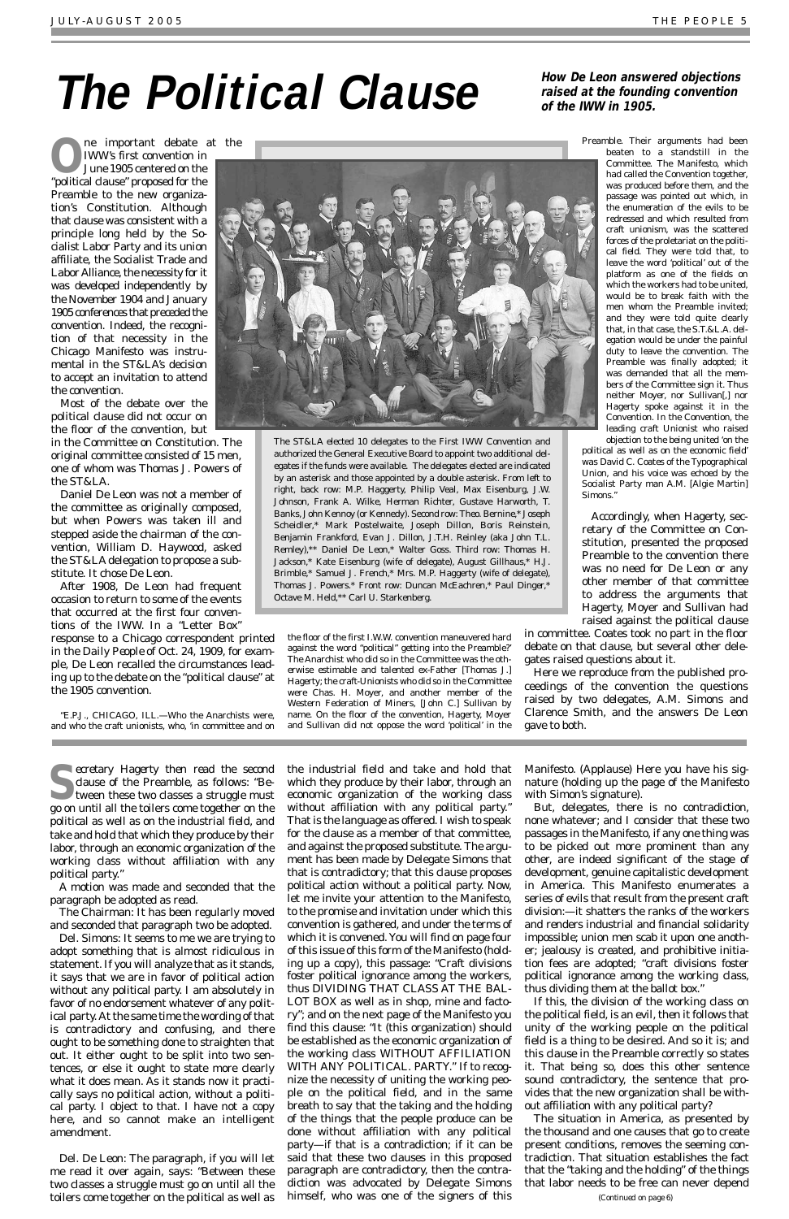# <span id="page-4-0"></span>**The Political Clause How De Leon answered objections**

**O**ne important debate at the IWW's first convention in June 1905 centered on the "political clause" proposed for the Preamble to the new organization's Constitution. Although that clause was consistent with a principle long held by the Socialist Labor Party and its union affiliate, the Socialist Trade and Labor Alliance, the necessity for it was developed independently by the November 1904 and January 1905 conferences that preceded the convention. Indeed, the recognition of that necessity in the Chicago Manifesto was instrumental in the ST&LA's decision to accept an invitation to attend the convention.

Most of the debate over the political clause did not occur on the floor of the convention, but

in the Committee on Constitution. The original committee consisted of 15 men, one of whom was Thomas J. Powers of the ST&LA.

Daniel De Leon was not a member of the committee as originally composed, but when Powers was taken ill and stepped aside the chairman of the convention, William D. Haywood, asked the ST&LA delegation to propose a substitute. It chose De Leon.

After 1908, De Leon had frequent occasion to return to some of the events that occurred at the first four conventions of the IWW. In a "Letter Box"

response to a Chicago correspondent printed in the *Daily People* of Oct. 24, 1909, for example, De Leon recalled the circumstances leading up to the debate on the "political clause" at the 1905 convention.

"E.P.J., CHICAGO, ILL.—Who the Anarchists were, and who the craft unionists, who, 'in committee and on the floor of the first I.W.W. convention maneuvered hard against the word "political" getting into the Preamble?' The Anarchist who did so in the Committee was the otherwise estimable and talented ex-Father [Thomas J.] Hagerty; the craft-Unionists who did so in the Committee were Chas. H. Moyer, and another member of the Western Federation of Miners, [John C.] Sullivan by name. On the floor of the convention, Hagerty, Moyer and Sullivan did not oppose the word 'political' in the

Preamble. Their arguments had been beaten to a standstill in the Committee. The Manifesto, which had called the Convention together, was produced before them, and the passage was pointed out which, in the enumeration of the evils to be redressed and which resulted from craft unionism, was the scattered forces of the proletariat on the political field. They were told that, to leave the word 'political' out of the platform as one of the fields on which the workers had to be united, would be to break faith with the men whom the Preamble invited; and they were told quite clearly that, in that case, the S.T.&L.A. delegation would be under the painful duty to leave the convention. The Preamble was finally adopted; it was demanded that all the members of the Committee sign it. Thus neither Moyer, nor Sullivan[,] nor Hagerty spoke against it in the Convention. In the Convention, the leading craft Unionist who raised

Secretary Hagerty then read the second<br>
clause of the Preamble, as follows: "Be-<br>
tween these two classes a struggle must<br>
co on until all the tailors are together on the clause of the Preamble, as follows: "Bego on until all the toilers come together on the political as well as on the industrial field, and take and hold that which they produce by their labor, through an economic organization of the working class without affiliation with any political party."

objection to the being united 'on the political as well as on the economic field' was David C. Coates of the Typographical Union, and his voice was echoed by the Socialist Party man A.M. [Algie Martin] Simons."

Accordingly, when Hagerty, secretary of the Committee on Constitution, presented the proposed Preamble to the convention there was no need for De Leon or any other member of that committee to address the arguments that Hagerty, Moyer and Sullivan had raised against the political clause

in committee. Coates took no part in the floor debate on that clause, but several other delegates raised questions about it.

Here we reproduce from the published proceedings of the convention the questions raised by two delegates, A.M. Simons and Clarence Smith, and the answers De Leon gave to both.

### **raised at the founding convention of the IWW in 1905.**

The ST&LA elected 10 delegates to the First IWW Convention and authorized the General Executive Board to appoint two additional delegates if the funds were available. The delegates elected are indicated by an asterisk and those appointed by a double asterisk. From left to right, back row: M.P. Haggerty, Philip Veal, Max Eisenburg, J.W. Johnson, Frank A. Wilke, Herman Richter, Gustave Harworth, T. Banks, John Kennoy (or Kennedy). Second row: Theo. Bernine,\* Joseph Scheidler,\* Mark Postelwaite, Joseph Dillon, Boris Reinstein, Benjamin Frankford, Evan J. Dillon, J.T.H. Reinley (aka John T.L. Remley),\*\* Daniel De Leon,\* Walter Goss. Third row: Thomas H. Jackson,\* Kate Eisenburg (wife of delegate), August Gillhaus,\* H.J. Brimble,\* Samuel J. French,\* Mrs. M.P. Haggerty (wife of delegate), Thomas J. Powers.\* Front row: Duncan McEachren,\* Paul Dinger,\* Octave M. Held,\*\* Carl U. Starkenberg.

A motion was made and seconded that the



paragraph be adopted as read.

The Chairman: It has been regularly moved and seconded that paragraph two be adopted.

Del. Simons: It seems to me we are trying to adopt something that is almost ridiculous in statement. If you will analyze that as it stands, it says that we are in favor of political action without any political party. I am absolutely in favor of no endorsement whatever of any political party. At the same time the wording of that is contradictory and confusing, and there ought to be something done to straighten that out. It either ought to be split into two sentences, or else it ought to state more clearly what it does mean. As it stands now it practically says no political action, without a political party. I object to that. I have not a copy here, and so cannot make an intelligent amendment.

Del. De Leon: The paragraph, if you will let me read it over again, says: "Between these two classes a struggle must go on until all the toilers come together on the political as well as

the industrial field and take and hold that which they produce by their labor, through an economic organization of the working class without affiliation with any political party." That is the language as offered. I wish to speak for the clause as a member of that committee, and against the proposed substitute. The argument has been made by Delegate Simons that that is contradictory; that this clause proposes political action without a political party. Now, let me invite your attention to the Manifesto, to the promise and invitation under which this convention is gathered, and under the terms of which it is convened. You will find on page four of this issue of this form of the Manifesto (holding up a copy), this passage: "Craft divisions foster political ignorance among the workers, thus DIVIDING THAT CLASS AT THE BAL-LOT BOX as well as in shop, mine and factory"; and on the next page of the Manifesto you find this clause: "It (this organization) should be established as the economic organization of the working class WITHOUT AFFILIATION WITH ANY POLITICAL. PARTY." If to recognize the necessity of uniting the working people on the political field, and in the same breath to say that the taking and the holding of the things that the people produce can be done without affiliation with any political party—if that is a contradiction; if it can be said that these two clauses in this proposed paragraph are contradictory, then the contradiction was advocated by Delegate Simons himself, who was one of the signers of this

Manifesto. (Applause) Here you have his signature (holding up the page of the Manifesto with Simon's signature).

But, delegates, there is no contradiction, none whatever; and I consider that these two passages in the Manifesto, if any one thing was to be picked out more prominent than any other, are indeed significant of the stage of development, genuine capitalistic development in America. This Manifesto enumerates a series of evils that result from the present craft division:—it shatters the ranks of the workers and renders industrial and financial solidarity impossible; union men scab it upon one another; jealousy is created, and prohibitive initiation fees are adopted; "craft divisions foster political ignorance among the working class, thus dividing them at the ballot box." If this, the division of the working class on the political field, is an evil, then it follows that unity of the working people on the political field is a thing to be desired. And so it is; and this clause in the Preamble correctly so states it. That being so, does this other sentence sound contradictory, the sentence that provides that the new organization shall be without affiliation with any political party? The situation in America, as presented by the thousand and one causes that go to create present conditions, removes the seeming contradiction. That situation establishes the fact that the "taking and the holding" of the things that labor needs to be free can never depend

*(Continued on page 6)*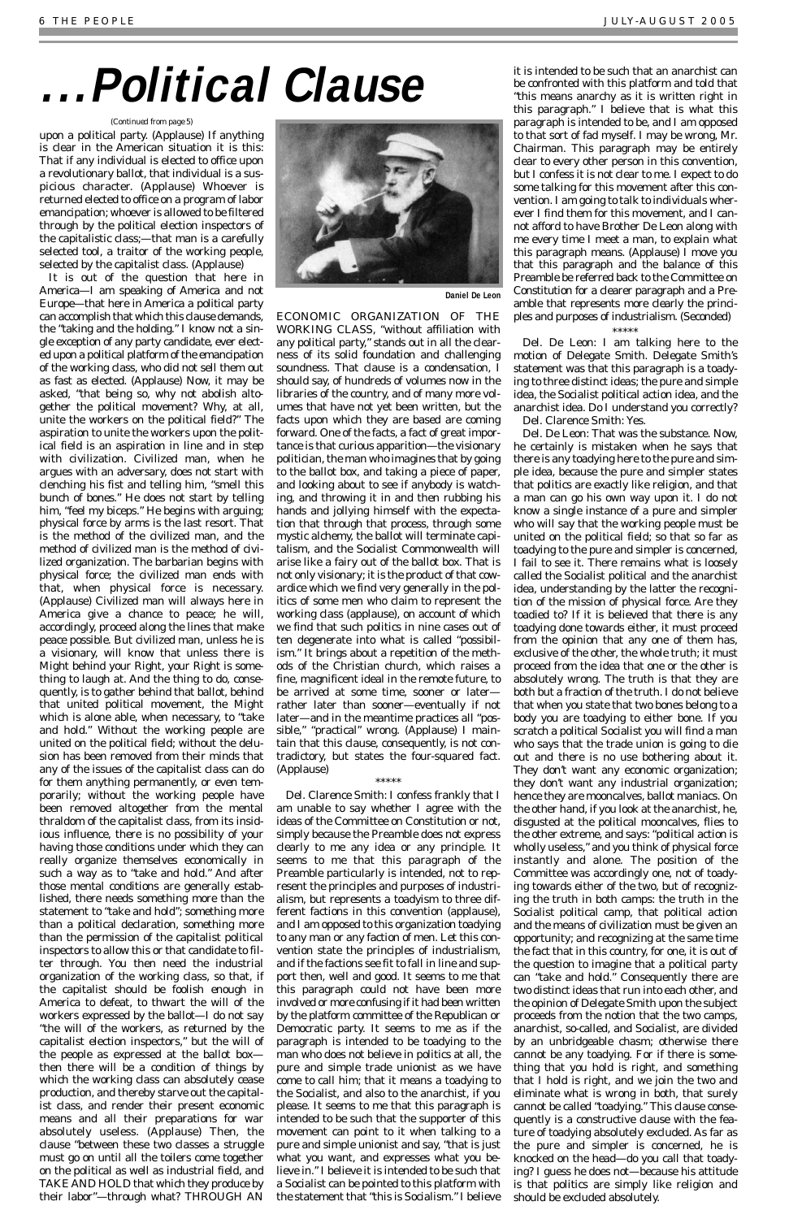upon a political party. (Applause) If anything is clear in the American situation it is this: That if any individual is elected to office upon a revolutionary ballot, that individual is a suspicious character. (Applause) Whoever is returned elected to office on a program of labor emancipation; whoever is allowed to be filtered through by the political election inspectors of the capitalistic class;—that man is a carefully selected tool, a traitor of the working people, selected by the capitalist class. (Applause)

It is out of the question that here in America—I am speaking of America and not Europe—that here in America a political party can accomplish that which this clause demands, the "taking and the holding." I know not a single exception of any party candidate, ever elected upon a political platform of the emancipation of the working class, who did not sell them out as fast as elected. (Applause) Now, it may be asked, "that being so, why not abolish altogether the political movement? Why, at all, unite the workers on the political field?" The aspiration to unite the workers upon the political field is an aspiration in line and in step with civilization. Civilized man, when he argues with an adversary, does not start with clenching his fist and telling him, "smell this bunch of bones." He does not start by telling him, "feel my biceps." He begins with arguing; physical force by arms is the last resort. That is the method of the civilized man, and the method of civilized man is the method of civilized organization. The barbarian begins with physical force; the civilized man ends with that, when physical force is necessary. (Applause) Civilized man will always here in America give a chance to peace; he will, accordingly, proceed along the lines that make peace possible. But civilized man, unless he is a visionary, will know that unless there is Might behind your Right, your Right is something to laugh at. And the thing to do, consequently, is to gather behind that ballot, behind that united political movement, the Might which is alone able, when necessary, to "take and hold." Without the working people are united on the political field; without the delusion has been removed from their minds that any of the issues of the capitalist class can do for them anything permanently, or even temporarily; without the working people have been removed altogether from the mental thraldom of the capitalist class, from its insidious influence, there is no possibility of your having those conditions under which they can really organize themselves economically in such a way as to "take and hold." And after those mental conditions are generally established, there needs something more than the statement to "take and hold"; something more than a political declaration, something more than the permission of the capitalist political inspectors to allow this or that candidate to filter through. You then need the industrial organization of the working class, so that, if the capitalist should be foolish enough in America to defeat, to thwart the will of the workers expressed by the ballot—I do not say "the will of the workers, as returned by the capitalist election inspectors," but the will of the people as expressed at the ballot box then there will be a condition of things by which the working class can absolutely cease production, and thereby starve out the capitalist class, and render their present economic means and all their preparations for war absolutely useless. (Applause) Then, the clause "between these two classes a struggle must go on until all the toilers come together on the political as well as industrial field, and TAKE AND HOLD that which they produce by their labor"—through what? THROUGH AN



ECONOMIC ORGANIZATION OF THE WORKING CLASS, "without affiliation with any political party," stands out in all the clearness of its solid foundation and challenging soundness. That clause is a condensation, I should say, of hundreds of volumes now in the libraries of the country, and of many more volumes that have not yet been written, but the facts upon which they are based are coming forward. One of the facts, a fact of great importance is that curious apparition—the visionary politician, the man who imagines that by going to the ballot box, and taking a piece of paper, and looking about to see if anybody is watching, and throwing it in and then rubbing his hands and jollying himself with the expectation that through that process, through some mystic alchemy, the ballot will terminate capitalism, and the Socialist Commonwealth will arise like a fairy out of the ballot box. That is not only visionary; it is the product of that cowardice which we find very generally in the politics of some men who claim to represent the working class (applause), on account of which we find that such politics in nine cases out of ten degenerate into what is called "possibilism." It brings about a repetition of the methods of the Christian church, which raises a fine, magnificent ideal in the remote future, to be arrived at some time, sooner or later rather later than sooner—eventually if not later—and in the meantime practices all "possible," "practical" wrong. (Applause) I maintain that this clause, consequently, is not contradictory, but states the four-squared fact. (Applause)

### \*\*\*\*\*

Del. Clarence Smith: I confess frankly that I am unable to say whether I agree with the ideas of the Committee on Constitution or not, simply because the Preamble does not express clearly to me any idea or any principle. It seems to me that this paragraph of the Preamble particularly is intended, not to represent the principles and purposes of industrialism, but represents a toadyism to three different factions in this convention (applause), and I am opposed to this organization toadying to any man or any faction of men. Let this convention state the principles of industrialism, and if the factions see fit to fall in line and support then, well and good. It seems to me that this paragraph could not have been more involved or more confusing if it had been written by the platform committee of the Republican or Democratic party. It seems to me as if the paragraph is intended to be toadying to the man who does not believe in politics at all, the pure and simple trade unionist as we have come to call him; that it means a toadying to the Socialist, and also to the anarchist, if you please. It seems to me that this paragraph is intended to be such that the supporter of this movement can point to it when talking to a pure and simple unionist and say, "that is just what you want, and expresses what you believe in." I believe it is intended to be such that a Socialist can be pointed to this platform with the statement that "this is Socialism." I believe

it is intended to be such that an anarchist can be confronted with this platform and told that "this means anarchy as it is written right in this paragraph." I believe that is what this paragraph is intended to be, and I am opposed to that sort of fad myself. I may be wrong, Mr. Chairman. This paragraph may be entirely clear to every other person in this convention, but I confess it is not clear to me. I expect to do some talking for this movement after this convention. I am going to talk to individuals wherever I find them for this movement, and I cannot afford to have Brother De Leon along with me every time I meet a man, to explain what this paragraph means. (Applause) I move you that this paragraph and the balance of this Preamble be referred back to the Committee on Constitution for a clearer paragraph and a Preamble that represents more clearly the principles and purposes of industrialism. (Seconded)

\*\*\*\*\*

Del. De Leon: I am talking here to the motion of Delegate Smith. Delegate Smith's statement was that this paragraph is a toadying to three distinct ideas; the pure and simple idea, the Socialist political action idea, and the anarchist idea. Do I understand you correctly? Del. Clarence Smith: Yes.

Del. De Leon: That was the substance. Now, he certainly is mistaken when he says that there is any toadying here to the pure and simple idea, because the pure and simpler states that politics are exactly like religion, and that a man can go his own way upon it. I do not know a single instance of a pure and simpler who will say that the working people must be united on the political field; so that so far as toadying to the pure and simpler is concerned, I fail to see it. There remains what is loosely called the Socialist political and the anarchist idea, understanding by the latter the recognition of the mission of physical force. Are they toadied to? If it is believed that there is any toadying done towards either, it must proceed from the opinion that any one of them has, exclusive of the other, the whole truth; it must proceed from the idea that one or the other is absolutely wrong. The truth is that they are both but a fraction of the truth. I do not believe that when you state that two bones belong to a body you are toadying to either bone. If you scratch a political Socialist you will find a man who says that the trade union is going to die out and there is no use bothering about it. They don't want any economic organization; they don't want any industrial organization; hence they are mooncalves, ballot maniacs. On the other hand, if you look at the anarchist, he, disgusted at the political mooncalves, flies to the other extreme, and says: "political action is wholly useless," and you think of physical force instantly and alone. The position of the Committee was accordingly one, not of toadying towards either of the two, but of recognizing the truth in both camps: the truth in the Socialist political camp, that political action and the means of civilization must be given an opportunity; and recognizing at the same time the fact that in this country, for one, it is out of the question to imagine that a political party can "take and hold." Consequently there are two distinct ideas that run into each other, and the opinion of Delegate Smith upon the subject proceeds from the notion that the two camps, anarchist, so-called, and Socialist, are divided by an unbridgeable chasm; otherwise there cannot be any toadying. For if there is something that you hold is right, and something that I hold is right, and we join the two and eliminate what is wrong in both, that surely cannot be called "toadying." This clause consequently is a constructive clause with the feature of toadying absolutely excluded. As far as the pure and simpler is concerned, he is knocked on the head—do you call that toadying? I guess he does not—because his attitude is that politics are simply like religion and should be excluded absolutely.

# **. . . Political Clause**

#### *(Continued from page 5)*

**Daniel De Leon**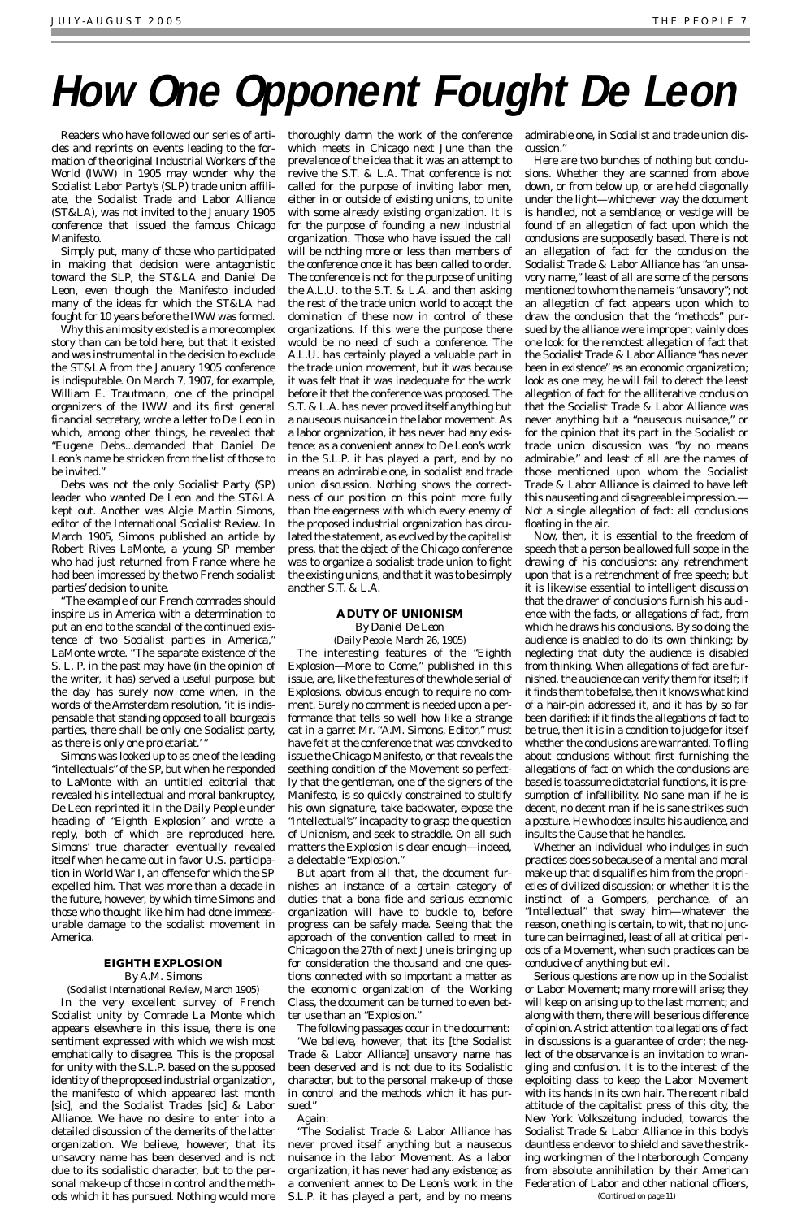Readers who have followed our series of articles and reprints on events leading to the formation of the original Industrial Workers of the World (IWW) in 1905 may wonder why the Socialist Labor Party's (SLP) trade union affiliate, the Socialist Trade and Labor Alliance (ST&LA), was not invited to the January 1905 conference that issued the famous Chicago Manifesto.

Simply put, many of those who participated in making that decision were antagonistic toward the SLP, the ST&LA and Daniel De Leon, even though the Manifesto included many of the ideas for which the ST&LA had fought for 10 years before the IWW was formed.

Why this animosity existed is a more complex story than can be told here, but that it existed and was instrumental in the decision to exclude the ST&LA from the January 1905 conference is indisputable. On March 7, 1907, for example, William E. Trautmann, one of the principal organizers of the IWW and its first general financial secretary, wrote a letter to De Leon in which, among other things, he revealed that "Eugene Debs...demanded that Daniel De Leon's name be stricken from the list of those to be invited."

Debs was not the only Socialist Party (SP) leader who wanted De Leon and the ST&LA kept out. Another was Algie Martin Simons, editor of the *International Socialist Review*. In March 1905, Simons published an article by Robert Rives LaMonte, a young SP member who had just returned from France where he had been impressed by the two French socialist parties' decision to unite.

"The example of our French comrades should inspire us in America with a determination to put an end to the scandal of the continued existence of two Socialist parties in America," LaMonte wrote. "The separate existence of the S. L. P. in the past may have (in the opinion of the writer, it has) served a useful purpose, but the day has surely now come when, in the words of the Amsterdam resolution, 'it is indispensable that standing opposed to all bourgeois parties, there shall be only one Socialist party, as there is only one proletariat.' "

Simons was looked up to as one of the leading "intellectuals" of the SP, but when he responded to LaMonte with an untitled editorial that revealed his intellectual and moral bankruptcy, De Leon reprinted it in the *Daily People* under heading of "Eighth Explosion" and wrote a reply, both of which are reproduced here. Simons' true character eventually revealed itself when he came out in favor U.S. participation in World War I, an offense for which the SP expelled him. That was more than a decade in the future, however, by which time Simons and those who thought like him had done immeasurable damage to the socialist movement in America.

### **EIGHTH EXPLOSION**

*By A.M. Simons* (*Socialist International Review*, March 1905)

In the very excellent survey of French Socialist unity by Comrade La Monte which appears elsewhere in this issue, there is one sentiment expressed with which we wish most emphatically to disagree. This is the proposal for unity with the S.L.P. based on the supposed identity of the proposed industrial organization, the manifesto of which appeared last month [sic], and the Socialist Trades [sic] & Labor Alliance. We have no desire to enter into a detailed discussion of the demerits of the latter organization. We believe, however, that its unsavory name has been deserved and is not due to its socialistic character, but to the personal make-up of those in control and the methods which it has pursued. Nothing would more

thoroughly damn the work of the conference which meets in Chicago next June than the prevalence of the idea that it was an attempt to revive the S.T. & L.A. That conference is not called for the purpose of inviting labor men, either in or outside of existing unions, to unite with some already existing organization. It is for the purpose of founding a new industrial organization. Those who have issued the call will be nothing more or less than members of the conference once it has been called to order. The conference is not for the purpose of uniting the A.L.U. to the S.T. & L.A. and then asking the rest of the trade union world to accept the domination of these now in control of these organizations. If this were the purpose there would be no need of such a conference. The A.L.U. has certainly played a valuable part in the trade union movement, but it was because it was felt that it was inadequate for the work before it that the conference was proposed. The S.T. & L.A. has never proved itself anything but a nauseous nuisance in the labor movement. As a labor organization, it has never had any existence; as a convenient annex to De Leon's work in the S.L.P. it has played a part, and by no means an admirable one, in socialist and trade union discussion. Nothing shows the correctness of our position on this point more fully than the eagerness with which every enemy of the proposed industrial organization has circulated the statement, as evolved by the capitalist press, that the object of the Chicago conference was to organize a socialist trade union to fight the existing unions, and that it was to be simply another S.T. & L.A.

### **A DUTY OF UNIONISM**

*By Daniel De Leon* (*Daily People*, March 26, 1905) The interesting features of the "Eighth Explosion—More to Come," published in this issue, are, like the features of the whole serial of Explosions, obvious enough to require no comment. Surely no comment is needed upon a performance that tells so well how like a strange cat in a garret Mr. "A.M. Simons, Editor," must have felt at the conference that was convoked to issue the Chicago Manifesto, or that reveals the seething condition of the Movement so perfectly that the gentleman, one of the signers of the Manifesto, is so quickly constrained to stultify his own signature, take backwater, expose the "Intellectual's" incapacity to grasp the question of Unionism, and seek to straddle. On all such matters the Explosion is clear enough—indeed, a delectable "Explosion."

But apart from all that, the document furnishes an instance of a certain category of duties that a bona fide and serious economic organization will have to buckle to, before progress can be safely made. Seeing that the approach of the convention called to meet in Chicago on the 27th of next June is bringing up for consideration the thousand and one questions connected with so important a matter as the economic organization of the Working Class, the document can be turned to even better use than an "Explosion." The following passages occur in the document: "We believe, however, that its [the Socialist Trade & Labor Alliance] unsavory name has been deserved and is not due to its Socialistic character, but to the personal make-up of those in control and the methods which it has pursued."

### Again:

"The Socialist Trade & Labor Alliance has never proved itself anything but a nauseous nuisance in the labor Movement. As a labor organization, it has never had any existence; as a convenient annex to De Leon's work in the S.L.P. it has played a part, and by no means admirable one, in Socialist and trade union discussion."

Here are two bunches of nothing but conclusions. Whether they are scanned from above down, or from below up, or are held diagonally under the light—whichever way the document is handled, not a semblance, or vestige will be found of an allegation of fact upon which the conclusions are supposedly based. There is not an allegation of fact for the conclusion the Socialist Trade & Labor Alliance has "an unsavory name," least of all are some of the persons mentioned to whom the name is "unsavory"; not an allegation of fact appears upon which to draw the conclusion that the "methods" pursued by the alliance were improper; vainly does one look for the remotest allegation of fact that the Socialist Trade & Labor Alliance "has never been in existence" as an economic organization; look as one may, he will fail to detect the least allegation of fact for the alliterative conclusion that the Socialist Trade & Labor Alliance was never anything but a "nauseous nuisance," or for the opinion that its part in the Socialist or trade union discussion was "by no means admirable," and least of all are the names of those mentioned upon whom the Socialist Trade & Labor Alliance is claimed to have left this nauseating and disagreeable impression.— Not a single allegation of fact: all conclusions floating in the air.

Now, then, it is essential to the freedom of speech that a person be allowed full scope in the drawing of his conclusions: any retrenchment upon that is a retrenchment of free speech; but it is likewise essential to intelligent discussion that the drawer of conclusions furnish his audience with the facts, or allegations of fact, from which he draws his conclusions. By so doing the audience is enabled to do its own thinking; by neglecting that duty the audience is disabled from thinking. When allegations of fact are furnished, the audience can verify them for itself; if it finds them to be false, then it knows what kind of a hair-pin addressed it, and it has by so far been clarified: if it finds the allegations of fact to be true, then it is in a condition to judge for itself whether the conclusions are warranted. To fling about conclusions without first furnishing the allegations of fact on which the conclusions are based is to assume dictatorial functions, it is presumption of infallibility. No sane man if he is decent, no decent man if he is sane strikes such a posture. He who does insults his audience, and insults the Cause that he handles.

Whether an individual who indulges in such practices does so because of a mental and moral make-up that disqualifies him from the proprieties of civilized discussion; or whether it is the instinct of a Gompers, perchance, of an "Intellectual" that sway him—whatever the reason, one thing is certain, to wit, that no juncture can be imagined, least of all at critical periods of a Movement, when such practices can be conducive of anything but evil. Serious questions are now up in the Socialist or Labor Movement; many more will arise; they will keep on arising up to the last moment; and along with them, there will be serious difference of opinion. Astrict attention to allegations of fact in discussions is a guarantee of order; the neglect of the observance is an invitation to wrangling and confusion. It is to the interest of the exploiting class to keep the Labor Movement with its hands in its own hair. The recent ribald attitude of the capitalist press of this city, the *New York Volkszeitung* included, towards the Socialist Trade & Labor Alliance in this body's dauntless endeavor to shield and save the striking workingmen of the Interborough Company from absolute annihilation by their American Federation of Labor and other national officers,

# **How One Opponent Fought De Leon**

*(Continued on page 11)*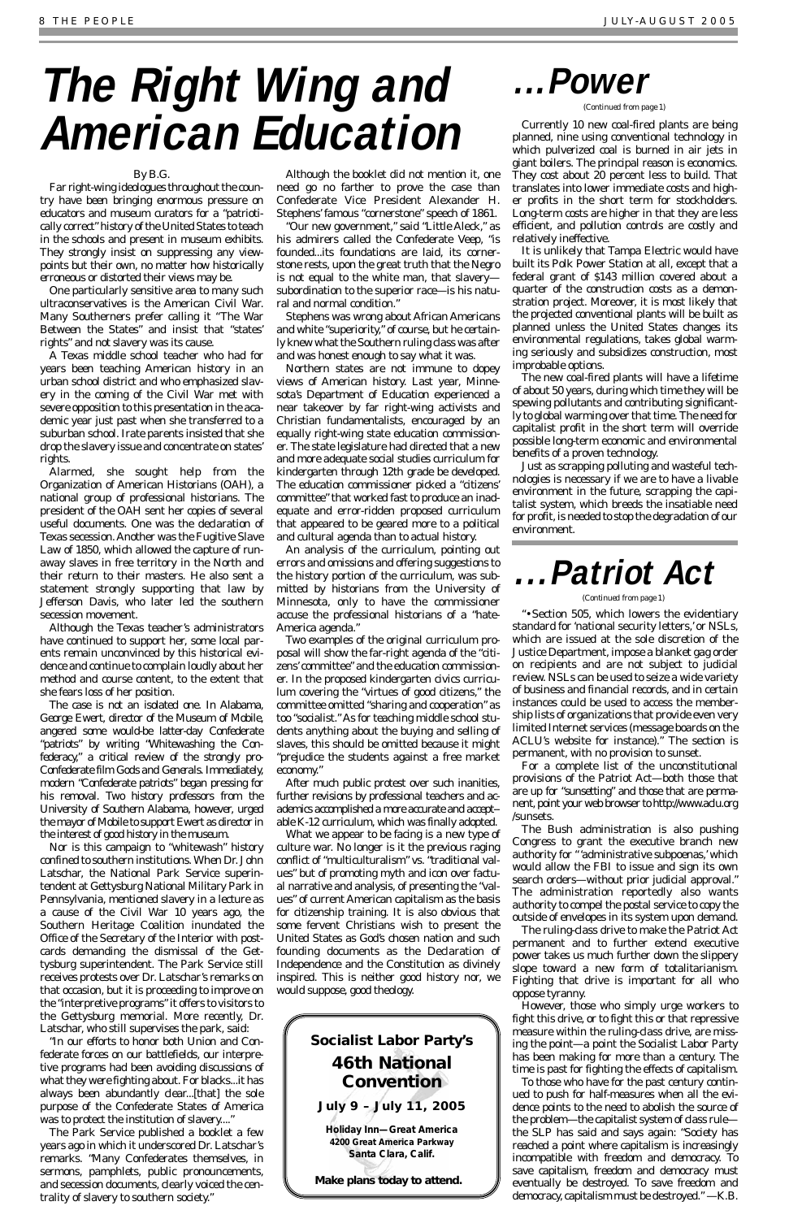"•Section 505, which lowers the evidentiary standard for 'national security letters,' or NSLs, which are issued at the sole discretion of the Justice Department, impose a blanket gag order on recipients and are not subject to judicial review. NSLs can be used to seize a wide variety of business and financial records, and in certain instances could be used to access the membership lists of organizations that provide even very limited Internet services (message boards on the ACLU's website for instance)." The section is permanent, with no provision to sunset.

For a complete list of the unconstitutional provisions of the Patriot Act—both those that are up for "sunsetting" and those that are permanent, point your web browser to http://www.aclu.org /sunsets.

The Bush administration is also pushing Congress to grant the executive branch new authority for "'administrative subpoenas,' which would allow the FBI to issue and sign its own search orders—without prior judicial approval." The administration reportedly also wants authority to compel the postal service to copy the outside of envelopes in its system upon demand. The ruling-class drive to make the Patriot Act permanent and to further extend executive power takes us much further down the slippery slope toward a new form of totalitarianism. Fighting that drive is important for all who oppose tyranny. However, those who simply urge workers to fight this drive, or to fight this or that repressive measure within the ruling-class drive, are missing the point—a point the Socialist Labor Party has been making for more than a century. The time is past for fighting the effects of capitalism. To those who have for the past century continued to push for half-measures when all the evidence points to the need to abolish the source of the problem—the capitalist system of class rule the SLP has said and says again: "Society has reached a point where capitalism is increasingly incompatible with freedom and democracy. To save capitalism, freedom and democracy must eventually be destroyed. To save freedom and democracy, capitalism must be destroyed." —*K.B.*

## **.. . Patriot Act**

*(Continued from page 1)*

### **. . . Power**

*(Continued from page 1)*

Currently 10 new coal-fired plants are being planned, nine using conventional technology in which pulverized coal is burned in air jets in giant boilers. The principal reason is economics. They cost about 20 percent less to build. That translates into lower immediate costs and higher profits in the short term for stockholders. Long-term costs are higher in that they are less efficient, and pollution controls are costly and relatively ineffective.

It is unlikely that Tampa Electric would have built its Polk Power Station at all, except that a federal grant of \$143 million covered about a quarter of the construction costs as a demonstration project. Moreover, it is most likely that the projected conventional plants will be built as planned unless the United States changes its environmental regulations, takes global warming seriously and subsidizes construction, most improbable options.

The new coal-fired plants will have a lifetime of about 50 years, during which time they will be spewing pollutants and contributing significantly to global warming over that time. The need for capitalist profit in the short term will override possible long-term economic and environmental benefits of a proven technology.

Just as scrapping polluting and wasteful technologies is necessary if we are to have a livable environment in the future, scrapping the capitalist system, which breeds the insatiable need for profit, is needed to stop the degradation of our environment.

### *By B.G.*

Far right-wing ideologues throughout the country have been bringing enormous pressure on educators and museum curators for a "patriotically correct" history of the United States to teach in the schools and present in museum exhibits. They strongly insist on suppressing any viewpoints but their own, no matter how historically erroneous or distorted their views may be.

One particularly sensitive area to many such ultraconservatives is the American Civil War. Many Southerners prefer calling it "The War Between the States" and insist that "states' rights" and *not* slavery was its cause.

A Texas middle school teacher who had for years been teaching American history in an urban school district and who emphasized slavery in the coming of the Civil War met with severe opposition to this presentation in the academic year just past when she transferred to a suburban school. Irate parents insisted that she drop the slavery issue and concentrate on states' rights.

Alarmed, she sought help from the Organization of American Historians (OAH), a national group of professional historians. The president of the OAH sent her copies of several useful documents. One was the declaration of Texas secession. Another was the Fugitive Slave Law of 1850, which allowed the capture of runaway slaves in free territory in the North and their return to their masters. He also sent a statement strongly supporting that law by Jefferson Davis, who later led the southern secession movement.

Although the Texas teacher's administrators have continued to support her, some local parents remain unconvinced by this historical evidence and continue to complain loudly about her method and course content, to the extent that she fears loss of her position.

The case is not an isolated one. In Alabama, George Ewert, director of the Museum of Mobile, angered some would-be latter-day Confederate "patriots" by writing "Whitewashing the Confederacy," a critical review of the strongly pro-Confederate film *Gods and Generals*. Immediately, modern "Confederate patriots" began pressing for his removal. Two history professors from the University of Southern Alabama, however, urged the mayor of Mobile to support Ewert as director in the interest of good history in the museum.

Nor is this campaign to "whitewash" history confined to southern institutions. When Dr. John Latschar, the National Park Service superintendent at Gettysburg National Military Park in Pennsylvania, mentioned slavery in a lecture as a cause of the Civil War 10 years ago, the Southern Heritage Coalition inundated the Office of the Secretary of the Interior with postcards demanding the dismissal of the Gettysburg superintendent. The Park Service still receives protests over Dr. Latschar's remarks on that occasion, but it is proceeding to improve on the "interpretive programs" it offers to visitors to the Gettysburg memorial. More recently, Dr. Latschar, who still supervises the park, said: "In our efforts to honor both Union and Confederate forces on our battlefields, our interpretive programs had been avoiding discussions of what they were fighting about. For blacks...it has always been abundantly clear...[that] the sole purpose of the Confederate States of America was to protect the institution of slavery...." The Park Service published a booklet a few years ago in which it underscored Dr. Latschar's remarks. "Many Confederates themselves, in sermons, pamphlets, public pronouncements, and secession documents, clearly voiced the centrality of slavery to southern society."

Although the booklet did not mention it, one need go no farther to prove the case than Confederate Vice President Alexander H. Stephens' famous "cornerstone" speech of 1861.

"Our new government," said "Little Aleck," as his admirers called the Confederate Veep, "is founded...its foundations are laid, its cornerstone rests, upon the great truth that the Negro is not equal to the white man, that slavery subordination to the superior race—is his natural and normal condition."

Stephens was wrong about African Americans and white "superiority," of course, but he certainly knew what the Southern ruling class was after and was honest enough to say what it was.

Northern states are not immune to dopey views of American history. Last year, Minnesota's Department of Education experienced a near takeover by far right-wing activists and Christian fundamentalists, encouraged by an equally right-wing state education commissioner. The state legislature had directed that a new and more adequate social studies curriculum for kindergarten through 12th grade be developed. The education commissioner picked a "citizens' committee" that worked fast to produce an inadequate and error-ridden proposed curriculum that appeared to be geared more to a political and cultural agenda than to actual history.

An analysis of the curriculum, pointing out errors and omissions and offering suggestions to the history portion of the curriculum, was submitted by historians from the University of Minnesota, only to have the commissioner accuse the professional historians of a "hate-America agenda."

Two examples of the original curriculum proposal will show the far-right agenda of the "citizens'committee" and the education commissioner. In the proposed kindergarten civics curriculum covering the "virtues of good citizens," the committee omitted "sharing and cooperation" as too "socialist." As for teaching middle school students anything about the buying and selling of slaves, this should be omitted because it might "prejudice the students against a free market economy."

After much public protest over such inanities, further revisions by professional teachers and academics accomplished a more accurate and accept- able K-12 curriculum, which was finally adopted.

What we appear to be facing is a new type of culture war. No longer is it the previous raging conflict of "multiculturalism" vs. "traditional values" but of promoting myth and icon over factual narrative and analysis, of presenting the "values" of current American capitalism as the basis for citizenship training. It is also obvious that some fervent Christians wish to present the United States as God's chosen nation and such founding documents as the Declaration of Independence and the Constitution as divinely inspired. This is neither good history nor, we would suppose, good theology.

# <span id="page-7-0"></span>**The Right Wing and American Education**

*Socialist Labor Party's 46th National Convention* **July 9 – July 11, 2005 Holiday Inn—Great America 4200 Great America Parkway Santa Clara, Calif.** *Make plans today to attend.*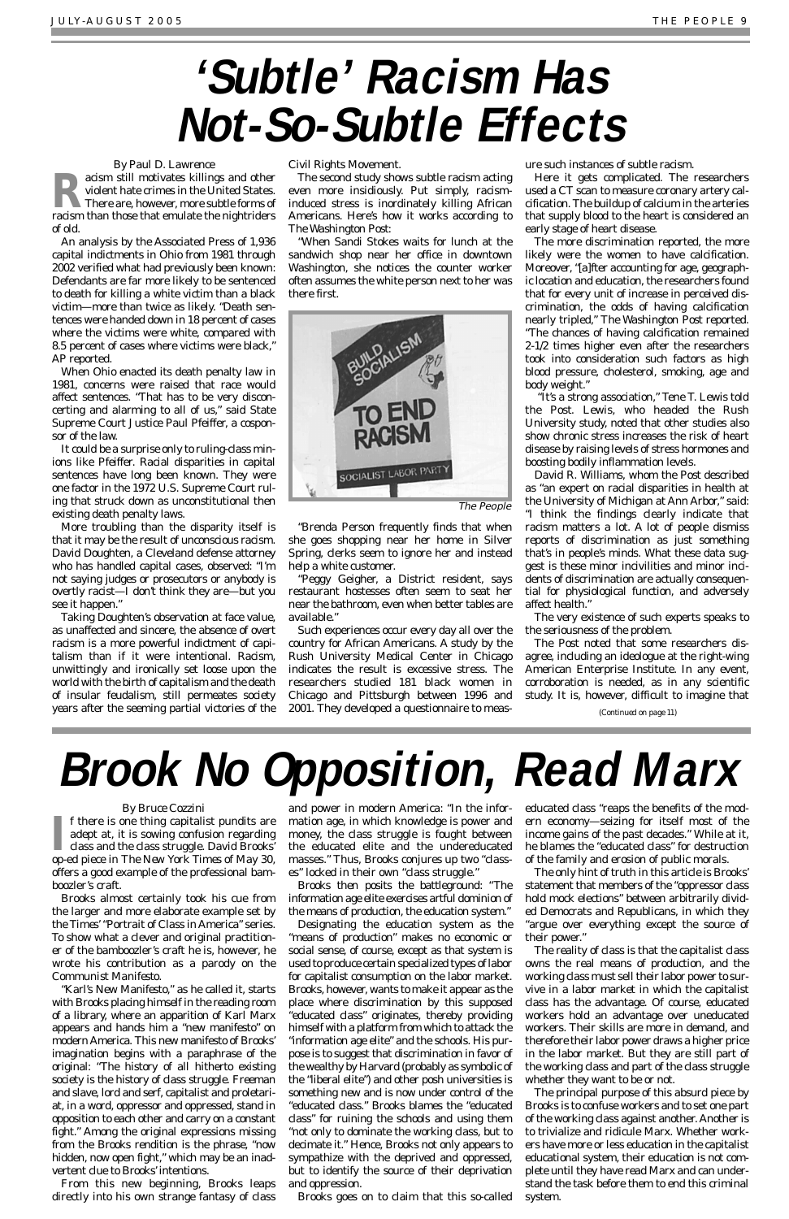### *By Bruce Cozzini*

I there is one thing capitalist pundits are<br>adept at, it is sowing confusion regarding<br>class and the class struggle. David Brooks'<br>op-ed piece in *The New York Times* of May 30, f there is one thing capitalist pundits are adept at, it is sowing confusion regarding class and the class struggle. David Brooks' offers a good example of the professional bamboozler's craft.

Brooks almost certainly took his cue from the larger and more elaborate example set by the *Times'* "Portrait of Class in America" series. To show what a clever and original practitioner of the bamboozler's craft he is, however, he wrote his contribution as a parody on the *Communist Manifesto*.

"Karl's New Manifesto," as he called it, starts with Brooks placing himself in the reading room of a library, where an apparition of Karl Marx appears and hands him a "new manifesto" on modern America. This new manifesto of Brooks' imagination begins with a paraphrase of the original: "The history of all hitherto existing society is the history of class struggle. Freeman and slave, lord and serf, capitalist and proletariat, in a word, oppressor and oppressed, stand in opposition to each other and carry on a constant fight." Among the original expressions missing from the Brooks rendition is the phrase, "now hidden, now open fight," which may be an inadvertent clue to Brooks' intentions.

From this new beginning, Brooks leaps directly into his own strange fantasy of class

and power in modern America: "In the information age, in which knowledge is power and money, the class struggle is fought between the educated elite and the undereducated masses." Thus, Brooks conjures up two "classes" locked in their own "class struggle."

Brooks then posits the battleground: "The information age elite exercises artful dominion of the means of production, the education system." Designating the education system as *the* "means of production" makes no economic or social sense, of course, except as that system is used to produce certain specialized types of labor for capitalist consumption on the labor market. Brooks, however, wants to make it appear as the place where discrimination by this supposed "educated class" originates, thereby providing himself with a platform from which to attack the "information age elite" and the schools. His purpose is to suggest that discrimination in favor of the wealthy by Harvard (probably as symbolic of the "liberal elite") and other posh universities is something new and is now under control of the "educated class." Brooks blames the "educated class" for ruining the schools and using them "not only to dominate the working class, but to decimate it." Hence, Brooks not only appears to sympathize with the deprived and oppressed, but to identify the source of their deprivation and oppression.

<span id="page-8-0"></span>**Racism still motivates killings and other**<br>violent hate crimes in the United States.<br>There are, however, more subtle forms of violent hate crimes in the United States. There are, however, more subtle forms of racism than those that emulate the nightriders of old.

Brooks goes on to claim that this so-called

educated class "reaps the benefits of the modern economy—seizing for itself most of the income gains of the past decades." While at it, he blames the "educated class" for destruction of the family and erosion of public morals.

The only hint of truth in this article is Brooks' statement that members of the "oppressor class hold mock elections" between arbitrarily divided Democrats and Republicans, in which they "argue over everything except the source of their power." The reality of class is that the capitalist class owns the real means of production, and the working class must sell their labor power to survive in a labor market in which the capitalist class has the advantage. Of course, educated workers hold an advantage over uneducated workers. Their skills are more in demand, and therefore their labor power draws a higher price in the labor market. But they are still part of the working class and part of the class struggle whether they want to be or not. The principal purpose of this absurd piece by Brooks is to confuse workers and to set one part of the working class against another. Another is to trivialize and ridicule Marx. Whether workers have more or less education in the capitalist educational system, their education is not complete until they have read Marx and can understand the task before them to end this criminal system.

### *By Paul D. Lawrence*

An analysis by the Associated Press of 1,936 capital indictments in Ohio from 1981 through 2002 verified what had previously been known: Defendants are far more likely to be sentenced to death for killing a white victim than a black victim—more than twice as likely. "Death sentences were handed down in 18 percent of cases where the victims were white, compared with 8.5 percent of cases where victims were black," AP reported.

When Ohio enacted its death penalty law in 1981, concerns were raised that race would affect sentences. "That has to be very disconcerting and alarming to all of us," said State Supreme Court Justice Paul Pfeiffer, a cosponsor of the law.

It could be a surprise only to ruling-class minions like Pfeiffer. Racial disparities in capital sentences have long been known. They were one factor in the 1972 U.S. Supreme Court ruling that struck down as unconstitutional then existing death penalty laws.

More troubling than the disparity itself is that it may be the result of *unconscious* racism. David Doughten, a Cleveland defense attorney who has handled capital cases, observed: "I'm not saying judges or prosecutors or anybody is overtly racist—I don't think they are—but you see it happen."

Taking Doughten's observation at face value, as unaffected and sincere, the absence of overt racism is a more powerful indictment of capitalism than if it were intentional. Racism, unwittingly and ironically set loose upon the world with the birth of capitalism and the death of insular feudalism, still permeates society years after the seeming partial victories of the Civil Rights Movement.

The second study shows subtle racism acting even more insidiously. Put simply, racisminduced stress is inordinately killing African Americans. Here's how it works according to *The Washington Post*:

"When Sandi Stokes waits for lunch at the sandwich shop near her office in downtown Washington, she notices the counter worker often assumes the white person next to her was there first.



"Brenda Person frequently finds that when she goes shopping near her home in Silver Spring, clerks seem to ignore her and instead help a white customer.

"Peggy Geigher, a District resident, says restaurant hostesses often seem to seat her near the bathroom, even when better tables are available."

Such experiences occur every day all over the country for African Americans. A study by the Rush University Medical Center in Chicago indicates the result is excessive stress. The researchers studied 181 black women in Chicago and Pittsburgh between 1996 and 2001. They developed a questionnaire to measure such instances of subtle racism.

Here it gets complicated. The researchers used a CT scan to measure coronary artery calcification. The buildup of calcium in the arteries that supply blood to the heart is considered an early stage of heart disease.

The more discrimination reported, the more likely were the women to have calcification. Moreover, "[a]fter accounting for age, geographic location and education, the researchers found that for every unit of increase in perceived discrimination, the odds of having calcification nearly tripled," *The Washington Post* reported. "The chances of having calcification remained 2-1/2 times higher even after the researchers took into consideration such factors as high blood pressure, cholesterol, smoking, age and body weight."

"It's a strong association," Tene T. Lewis told the *Post*. Lewis, who headed the Rush University study, noted that other studies also show chronic stress increases the risk of heart disease by raising levels of stress hormones and boosting bodily inflammation levels.

David R. Williams, whom the *Post* described as "an expert on racial disparities in health at the University of Michigan at Ann Arbor," said: "I think the findings clearly indicate that racism matters a lot. A lot of people dismiss reports of discrimination as just something that's in people's minds. What these data suggest is these minor incivilities and minor incidents of discrimination are actually consequential for physiological function, and adversely affect health."

The very existence of such experts speaks to the seriousness of the problem.

The *Post* noted that some researchers disagree, including an ideologue at the right-wing American Enterprise Institute. In any event, corroboration is needed, as in any scientific study. It is, however, difficult to imagine that

# **'Subtle' Racism Has Not-So-Subtle Effects**

# **Brook No Opposition, Read Marx**

*(Continued on page 11)*

The People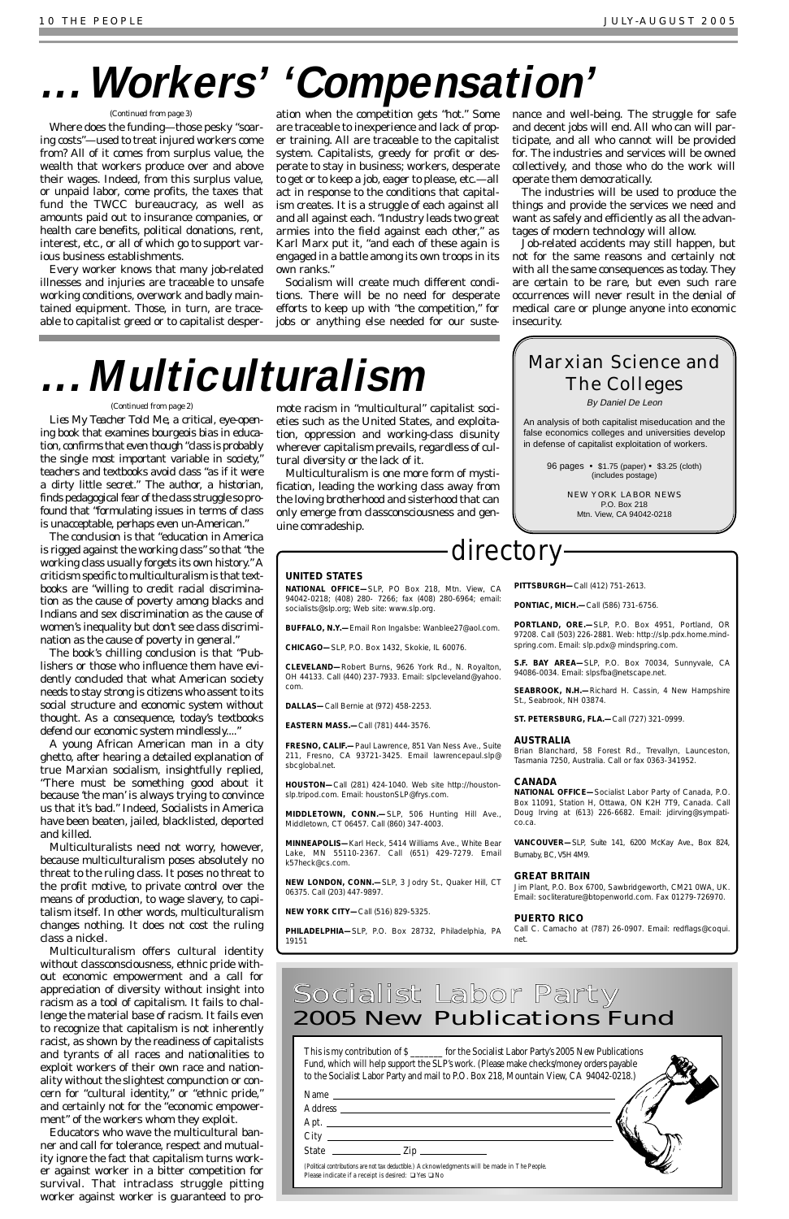Where does the funding—those pesky "soaring costs"—used to treat injured workers come from? All of it comes from surplus value, the wealth that workers produce over and above their wages. Indeed, from this surplus value, or unpaid labor, come profits, the taxes that fund the TWCC bureaucracy, as well as amounts paid out to insurance companies, or health care benefits, political donations, rent, interest, etc., or all of which go to support various business establishments.

Every worker knows that many job-related illnesses and injuries are traceable to unsafe working conditions, overwork and badly maintained equipment. Those, in turn, are traceable to capitalist greed or to capitalist desperation when the competition gets "hot." Some are traceable to inexperience and lack of proper training. All are traceable to the capitalist system. Capitalists, greedy for profit or desperate to stay in business; workers, desperate to get or to keep a job, eager to please, etc.—all act in response to the conditions that capitalism creates. It is a struggle of each against all and all against each. "Industry leads two great armies into the field against each other," as Karl Marx put it, "and each of these again is engaged in a battle among its own troops in its own ranks."

Socialism will create much different conditions. There will be no need for desperate efforts to keep up with "the competition," for jobs or anything else needed for our sustenance and well-being. The struggle for safe and decent jobs will end. All who can will participate, and all who cannot will be provided for. The industries and services will be owned collectively, and those who do the work will operate them democratically.

The industries will be used to produce the things and provide the services we need and want as safely and efficiently as all the advantages of modern technology will allow.

Job-related accidents may still happen, but not for the same reasons and certainly not with all the same consequences as today. They are certain to be rare, but even such rare occurrences will never result in the denial of medical care or plunge anyone into economic insecurity.

*Lies My Teacher Told Me*, a critical, eye-opening book that examines bourgeois bias in education, confirms that even though "class is probably the single most important variable in society," teachers and textbooks avoid class "as if it were a dirty little secret." The author, a historian, finds pedagogical fear of the class struggle so profound that "formulating issues in terms of class is unacceptable, perhaps even un-American."

The conclusion is that "education in America is rigged against the working class" so that "the working class usually forgets its own history." A criticism specific to multiculturalism is that textbooks are "willing to credit racial discrimination as the cause of poverty among blacks and Indians and sex discrimination as the cause of women's inequality but don't see class discrimination as the cause of poverty in general."

> This is my contribution of \$  $\qquad \qquad$  for the Socialist Labor Party's 2005 New Publications Fund, which will help support the SLP's work. (Please make checks/money orders payable to the Socialist Labor Party and mail to P.O. Box 218, Mountain View, CA 94042-0218.)

### Socialist Labor Party 2005 New Publications Fund

The book's chilling conclusion is that "Publishers or those who influence them have evidently concluded that what American society needs to stay strong is citizens who assent to its social structure and economic system without thought. As a consequence, today's textbooks defend our economic system mindlessly...."

A young African American man in a city ghetto, after hearing a detailed explanation of true Marxian socialism, insightfully replied, "There must be something good about it because 'the man' is always trying to convince us that it's bad." Indeed, Socialists in America have been beaten, jailed, blacklisted, deported and killed.

Multiculturalists need not worry, however, because multiculturalism poses absolutely no threat to the ruling class. It poses no threat to the profit motive, to private control over the means of production, to wage slavery, to capitalism itself. In other words, multiculturalism changes nothing. It does not cost the ruling class a nickel. Multiculturalism offers cultural identity without classconsciousness, ethnic pride without economic empowerment and a call for appreciation of diversity without insight into racism as a tool of capitalism. It fails to challenge the material base of racism. It fails even to recognize that capitalism is not inherently racist, as shown by the readiness of capitalists and tyrants of all races and nationalities to exploit workers of their own race and nationality without the slightest compunction or concern for "cultural identity," or "ethnic pride," and certainly not for the "economic empowerment" of the workers whom they exploit. Educators who wave the multicultural banner and call for tolerance, respect and mutuality ignore the fact that capitalism turns worker against worker in a bitter competition for survival. That intraclass struggle pitting worker against worker is guaranteed to pro-

mote racism in "multicultural" capitalist societies such as the United States, and exploitation, oppression and working-class *dis*unity wherever capitalism prevails, regardless of cultural diversity or the lack of it.

Multiculturalism is one more form of mystification, leading the working class away from the loving brotherhood and sisterhood that can only emerge from classconsciousness and genuine comradeship.

## . Workers' 'Compensation'

## **. . .Multiculturalism**

#### *(Continued from page 3)*

### *(Continued from page 2)*

| Name                                                                                                                                                           |  |
|----------------------------------------------------------------------------------------------------------------------------------------------------------------|--|
| <b>Address</b><br><u> 1989 - John Stoff, amerikansk politiker (d. 1989)</u>                                                                                    |  |
| Apt.                                                                                                                                                           |  |
| City                                                                                                                                                           |  |
| State<br>$\frac{2}{\pi}$ Zip                                                                                                                                   |  |
| (Political contributions are not tax deductible.) Acknowledgments will be made in The People.<br>Please indicate if a receipt is desired: $\Box$ Yes $\Box$ No |  |

### directory

**UNITED STATES**

**NATIONAL OFFICE—**SLP, PO Box 218, Mtn. View, CA 94042-0218; (408) 280- 7266; fax (408) 280-6964; email:

socialists@slp.org; Web site: www.slp.org.

**BUFFALO, N.Y.—**Email Ron Ingalsbe: Wanblee27@aol.com.

**CHICAGO—**SLP, P.O. Box 1432, Skokie, IL 60076.

**CLEVELAND—**Robert Burns, 9626 York Rd., N. Royalton, OH 44133. Call (440) 237-7933. Email: slpcleveland@yahoo.

com.

**DALLAS—**Call Bernie at (972) 458-2253. **EASTERN MASS.—**Call (781) 444-3576.

**FRESNO, CALIF.—**Paul Lawrence, 851 Van Ness Ave., Suite 211, Fresno, CA 93721-3425. Email lawrencepaul.slp@

sbcglobal.net.

**HOUSTON—**Call (281) 424-1040. Web site http://houston-

slp.tripod.com. Email: houstonSLP@frys.com.

**MIDDLETOWN, CONN.—**SLP, 506 Hunting Hill Ave.,

Middletown, CT 06457. Call (860) 347-4003.

**MINNEAPOLIS—**Karl Heck, 5414 Williams Ave., White Bear Lake, MN 55110-2367. Call (651) 429-7279. Email

k57heck@cs.com.

**NEW LONDON, CONN.—**SLP, 3 Jodry St., Quaker Hill, CT

06375. Call (203) 447-9897.

**NEW YORK CITY—**Call (516) 829-5325.

**PHILADELPHIA—**SLP, P.O. Box 28732, Philadelphia, PA 19151

**PITTSBURGH—**Call (412) 751-2613.

**PONTIAC, MICH.—**Call (586) 731-6756.

**PORTLAND, ORE.—**SLP, P.O. Box 4951, Portland, OR 97208. Call (503) 226-2881. Web: http://slp.pdx.home.mindspring.com. Email: slp.pdx@ mindspring.com.

**S.F. BAY AREA—**SLP, P.O. Box 70034, Sunnyvale, CA 94086-0034. Email: slpsfba@netscape.net.

**SEABROOK, N.H.—**Richard H. Cassin, 4 New Hampshire St., Seabrook, NH 03874.

**ST. PETERSBURG, FLA.—**Call (727) 321-0999.

### **AUSTRALIA**

Brian Blanchard, 58 Forest Rd., Trevallyn, Launceston, Tasmania 7250, Australia. Call or fax 0363-341952.

#### **CANADA**

**NATIONAL OFFICE—**Socialist Labor Party of Canada, P.O. Box 11091, Station H, Ottawa, ON K2H 7T9, Canada. Call Doug Irving at (613) 226-6682. Email: jdirving@sympatico.ca.

**VANCOUVER—**SLP, Suite 141, 6200 McKay Ave., Box 824, Burnaby, BC, V5H 4M9.

### **GREAT BRITAIN**

Jim Plant, P.O. Box 6700, Sawbridgeworth, CM21 0WA, UK.

Email: socliterature@btopenworld.com. Fax 01279-726970.

### **PUERTO RICO**

Call C. Camacho at (787) 26-0907. Email: redflags@coqui. net.

Marxian Science and

The Colleges By Daniel De Leon

An analysis of both capitalist miseducation and the false economics colleges and universities develop in defense of capitalist exploitation of workers.

> 96 pages • \$1.75 (paper) • \$3.25 (cloth) (includes postage) NEW YORK LABOR NEWS P.O. Box 218 Mtn. View, CA 94042-0218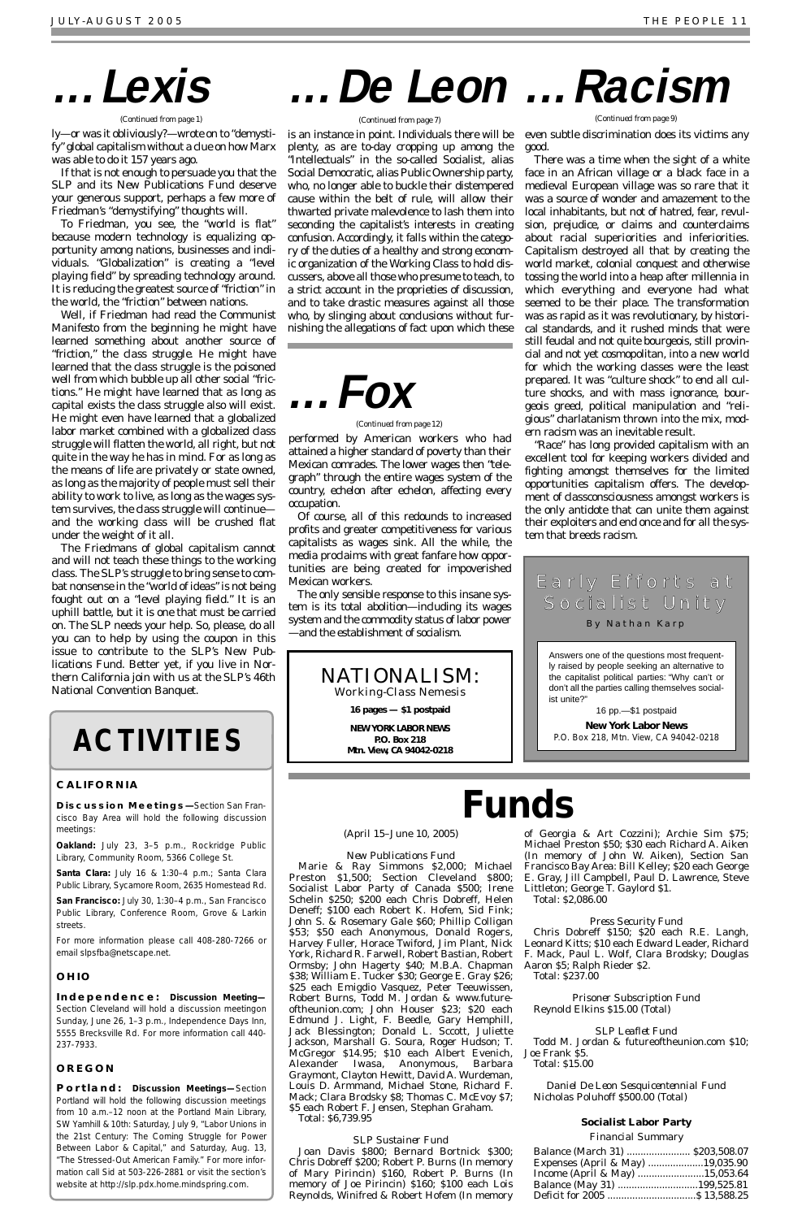of Georgia & Art Cozzini); Archie Sim \$75; Michael Preston \$50; \$30 each Richard A. Aiken (In memory of John W. Aiken), Section San Francisco Bay Area: Bill Kelley; \$20 each George E. Gray, Jill Campbell, Paul D. Lawrence, Steve Littleton; George T. Gaylord \$1.

Total: \$2,086.00

#### *Press Security Fund*

Chris Dobreff \$150; \$20 each R.E. Langh, Leonard Kitts; \$10 each Edward Leader, Richard F. Mack, Paul L. Wolf, Clara Brodsky; Douglas Aaron \$5; Ralph Rieder \$2.

Total: \$237.00

*Prisoner Subscription Fund* Reynold Elkins \$15.00 (Total)

### *SLP Leaflet Fund*

Todd M. Jordan & futureoftheunion.com \$10; Joe Frank \$5.

Total: \$15.00

*Daniel De Leon Sesquicentennial Fund* Nicholas Poluhoff \$500.00 (Total)

### **Socialist Labor Party**

### *Financial Summary*

| Balance (March 31)  \$203,508.07 |  |
|----------------------------------|--|
| Expenses (April & May) 19,035.90 |  |
| Income (April & May) 15,053.64   |  |
| Balance (May 31) 199,525.81      |  |
|                                  |  |

(April 15–June 10, 2005)

#### *New Publications Fund*

Marie & Ray Simmons \$2,000; Michael Preston \$1,500; Section Cleveland \$800; Socialist Labor Party of Canada \$500; Irene

Schelin \$250; \$200 each Chris Dobreff, Helen Deneff; \$100 each Robert K. Hofem, Sid Fink; John S. & Rosemary Gale \$60; Phillip Colligan \$53; \$50 each Anonymous, Donald Rogers, Harvey Fuller, Horace Twiford, Jim Plant, Nick York, Richard R. Farwell, Robert Bastian, Robert Ormsby; John Hagerty \$40; M.B.A. Chapman \$38; William E. Tucker \$30; George E. Gray \$26; \$25 each Emigdio Vasquez, Peter Teeuwissen, Robert Burns, Todd M. Jordan & www.futureoftheunion.com; John Houser \$23; \$20 each Edmund J. Light, F. Beedle, Gary Hemphill, Jack Blessington; Donald L. Sccott, Juliette Jackson, Marshall G. Soura, Roger Hudson; T. McGregor \$14.95; \$10 each Albert Evenich, Alexander Iwasa, Anonymous, Barbara Graymont, Clayton Hewitt, David A. Wurdeman, Louis D. Armmand, Michael Stone, Richard F. Mack; Clara Brodsky \$8; Thomas C. McEvoy \$7; \$5 each Robert F. Jensen, Stephan Graham. Total: \$6,739.95

#### *SLP Sustainer Fund*

Joan Davis \$800; Bernard Bortnick \$300; Chris Dobreff \$200; Robert P. Burns (In memory of Mary Pirincin) \$160, Robert P. Burns (In memory of Joe Pirincin) \$160; \$100 each Lois Reynolds, Winifred & Robert Hofem (In memory

### **Funds**

#### *(Continued from page 1)*

## **. . .Fox**

#### *(Continued from page 12)*

*(Continued from page 9)*

### **ACTIVITIES**

### **CALIFORNIA**

**Discussion Meetings—**Section San Francisco Bay Area will hold the following discussion meetings:

**Oakland:** July 23, 3–5 p.m., Rockridge Public Library, Community Room, 5366 College St.

**Santa Clara:** July 16 & 1:30–4 p.m.; Santa Clara Public Library, Sycamore Room, 2635 Homestead Rd.

# **...Lexis** ...De Leon ...Racism

**San Francisco:** July 30, 1:30–4 p.m., San Francisco Public Library, Conference Room, Grove & Larkin streets.

For more information please call 408-280-7266 or email slpsfba@netscape.net.

### **OHIO**

**Independence: Discussion Meeting—** Section Cleveland will hold a discussion meetingon Sunday, June 26, 1–3 p.m., Independence Days Inn, 5555 Brecksville Rd. For more information call 440- 237-7933.

### **OREGON**

**Portland: Discussion Meetings—**Section Portland will hold the following discussion meetings from 10 a.m.–12 noon at the Portland Main Library, SW Yamhill & 10th: Saturday, July 9, "Labor Unions in the 21st Century: The Coming Struggle for Power Between Labor & Capital," and Saturday, Aug. 13, "The Stressed-Out American Family." For more information call Sid at 503-226-2881 or visit the section's website at http://slp.pdx.home.mindspring.com.

ly—or was it obliviously?—wrote on to "demystify" global capitalism without a clue on how Marx was able to do it 157 years ago.

If that is not enough to persuade you that the SLP and its New Publications Fund deserve your generous support, perhaps a few more of Friedman's "demystifying" thoughts will.

To Friedman, you see, the "world is flat" because modern technology is equalizing opportunity among nations, businesses and individuals. "Globalization" is creating a "level playing field" by spreading technology around. It is reducing the greatest source of "friction" in the world, the "friction" between nations.

Well, if Friedman had read the *Communist Manifesto* from the beginning he might have learned something about another source of "friction," the *class struggle*. He might have learned that the class struggle is the poisoned well from which bubble up all other social "frictions." He might have learned that as long as capital exists the class struggle also will exist. He might even have learned that a globalized labor market combined with a globalized class struggle will flatten the world, all right, but not quite in the way he has in mind. For as long as the means of life are privately or state owned, as long as the majority of people must sell their ability to work to live, as long as the wages system survives, the class struggle will continue and the working class will be crushed flat under the weight of it all.

The Friedmans of global capitalism cannot and will not teach these things to the working class. The SLP's struggle to bring sense to combat nonsense in the "world of ideas" is not being fought out on a "level playing field." It is an uphill battle, but it is one that must be carried on. The SLP needs your help. So, please, do all you can to help by using the coupon in this issue to contribute to the SLP's New Publications Fund. Better yet, if you live in Northern California join with us at the SLP's 46th National Convention Banquet.

even subtle discrimination does its victims any good.

There was a time when the sight of a white face in an African village or a black face in a medieval European village was so rare that it was a source of wonder and amazement to the local inhabitants, but not of hatred, fear, revulsion, prejudice, or claims and counterclaims about racial superiorities and inferiorities. Capitalism destroyed all that by creating the world market, colonial conquest and otherwise tossing the world into a heap after millennia in which everything and everyone had what seemed to be their place. The transformation was as rapid as it was revolutionary, by historical standards, and it rushed minds that were still feudal and not quite bourgeois, still provincial and not yet cosmopolitan, into a new world for which the working classes were the least prepared. It was "culture shock" to end all culture shocks, and with mass ignorance, bourgeois greed, political manipulation and "religious" charlatanism thrown into the mix, modern racism was an inevitable result.

"Race" has long provided capitalism with an excellent tool for keeping workers divided and fighting amongst themselves for the limited opportunities capitalism offers. The development of classconsciousness amongst workers is the only antidote that can unite them against their exploiters and end once and for all the system that breeds racism.



*By Nathan Karp*

Answers one of the questions most frequently raised by people seeking an alternative to the capitalist political parties: "Why can't or don't all the parties calling themselves socialist unite?"

16 pp.—\$1 postpaid **New York Labor News** P.O. Box 218, Mtn. View, CA 94042-0218

is an instance in point. Individuals there will be plenty, as are to-day cropping up among the "Intellectuals" in the so-called Socialist, alias Social Democratic, alias Public Ownership party, who, no longer able to buckle their distempered cause within the belt of rule, will allow their thwarted private malevolence to lash them into seconding the capitalist's interests in creating confusion. Accordingly, it falls within the category of the duties of a healthy and strong economic organization of the Working Class to hold discussers, above all those who presume to teach, to a strict account in the proprieties of discussion, and to take drastic measures against all those who, by slinging about conclusions without furnishing the allegations of fact upon which these

#### *(Continued from page 7)*

performed by American workers who had attained a higher standard of poverty than their Mexican comrades. The lower wages then "telegraph" through the entire wages system of the country, echelon after echelon, affecting every occupation.

Of course, all of this redounds to increased profits and greater competitiveness for various capitalists as wages sink. All the while, the media proclaims with great fanfare how opportunities are being created for impoverished Mexican workers.

The only sensible response to this insane system is its total abolition—including its wages system and the commodity status of labor power —and the establishment of socialism.

> *NATIONALISM: Working-Class Nemesis*

> > **16 pages — \$1 postpaid**

**NEW YORK LABOR NEWS P.O. Box 218 Mtn. View, CA 94042-0218**